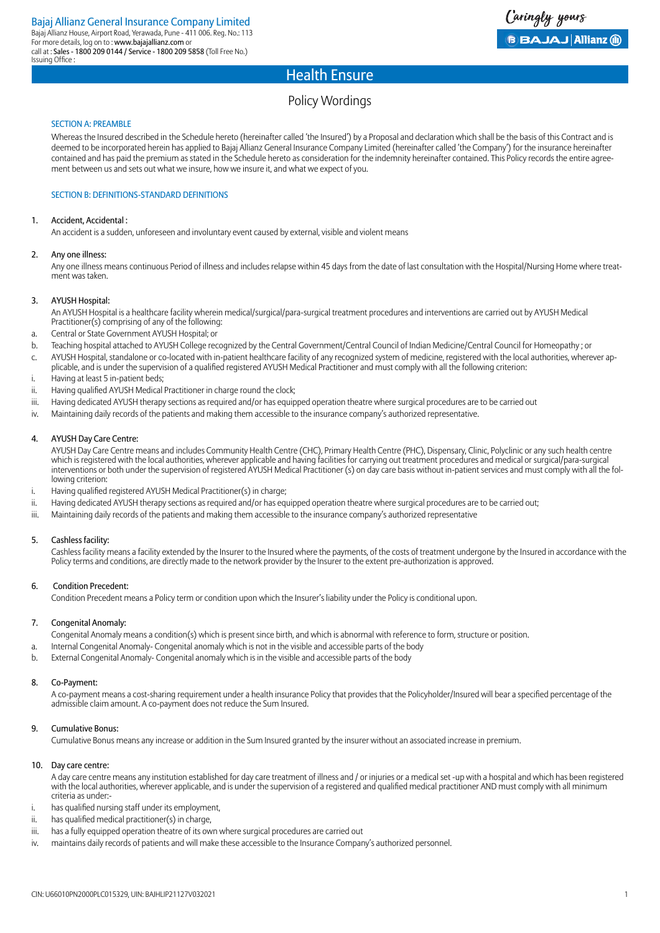## Policy Wordings

#### SECTION A: PREAMBLE

Whereas the Insured described in the Schedule hereto (hereinafter called 'the Insured') by a Proposal and declaration which shall be the basis of this Contract and is deemed to be incorporated herein has applied to Bajaj Allianz General Insurance Company Limited (hereinafter called 'the Company') for the insurance hereinafter contained and has paid the premium as stated in the Schedule hereto as consideration for the indemnity hereinafter contained. This Policy records the entire agreement between us and sets out what we insure, how we insure it, and what we expect of you.

#### SECTION B: DEFINITIONS-STANDARD DEFINITIONS

#### 1. Accident, Accidental :

An accident is a sudden, unforeseen and involuntary event caused by external, visible and violent means

#### 2. Any one illness:

Any one illness means continuous Period of illness and includes relapse within 45 days from the date of last consultation with the Hospital/Nursing Home where treatment was taken.

#### 3. AYUSH Hospital:

An AYUSH Hospital is a healthcare facility wherein medical/surgical/para-surgical treatment procedures and interventions are carried out by AYUSH Medical Practitioner(s) comprising of any of the following:

- a. Central or State Government AYUSH Hospital; or
- b. Teaching hospital attached to AYUSH College recognized by the Central Government/Central Council of Indian Medicine/Central Council for Homeopathy ; or
- c. AYUSH Hospital, standalone or co-located with in-patient healthcare facility of any recognized system of medicine, registered with the local authorities, wherever applicable, and is under the supervision of a qualified registered AYUSH Medical Practitioner and must comply with all the following criterion:
- i. Having at least 5 in-patient beds;
- ii. Having qualified AYUSH Medical Practitioner in charge round the clock;
- iii. Having dedicated AYUSH therapy sections as required and/or has equipped operation theatre where surgical procedures are to be carried out
- iv. Maintaining daily records of the patients and making them accessible to the insurance company's authorized representative.

#### 4. AYUSH Day Care Centre:

AYUSH Day Care Centre means and includes Community Health Centre (CHC), Primary Health Centre (PHC), Dispensary, Clinic, Polyclinic or any such health centre which is registered with the local authorities, wherever applicable and having facilities for carrying out treatment procedures and medical or surgical/para-surgical interventions or both under the supervision of registered AYUSH Medical Practitioner (s) on day care basis without in-patient services and must comply with all the following criterion:

- i. Having qualified registered AYUSH Medical Practitioner(s) in charge;
- ii. Having dedicated AYUSH therapy sections as required and/or has equipped operation theatre where surgical procedures are to be carried out;
- iii. Maintaining daily records of the patients and making them accessible to the insurance company's authorized representative

#### 5. Cashless facility:

Cashless facility means a facility extended by the Insurer to the Insured where the payments, of the costs of treatment undergone by the Insured in accordance with the Policy terms and conditions, are directly made to the network provider by the Insurer to the extent pre-authorization is approved.

#### 6. Condition Precedent:

Condition Precedent means a Policy term or condition upon which the Insurer's liability under the Policy is conditional upon.

#### 7. Congenital Anomaly:

- Congenital Anomaly means a condition(s) which is present since birth, and which is abnormal with reference to form, structure or position.
- a. Internal Congenital Anomaly- Congenital anomaly which is not in the visible and accessible parts of the body
- b. External Congenital Anomaly- Congenital anomaly which is in the visible and accessible parts of the body

#### 8. Co-Payment:

A co-payment means a cost-sharing requirement under a health insurance Policy that provides that the Policyholder/Insured will bear a specified percentage of the admissible claim amount. A co-payment does not reduce the Sum Insured.

#### 9. Cumulative Bonus:

Cumulative Bonus means any increase or addition in the Sum Insured granted by the insurer without an associated increase in premium.

#### 10. Day care centre:

A day care centre means any institution established for day care treatment of illness and / or injuries or a medical set -up with a hospital and which has been registered with the local authorities, wherever applicable, and is under the supervision of a registered and qualified medical practitioner AND must comply with all minimum criteria as under:-

- i. has qualified nursing staff under its employment,
- ii. has qualified medical practitioner(s) in charge,
- iii. has a fully equipped operation theatre of its own where surgical procedures are carried out
- iv. maintains daily records of patients and will make these accessible to the Insurance Company's authorized personnel.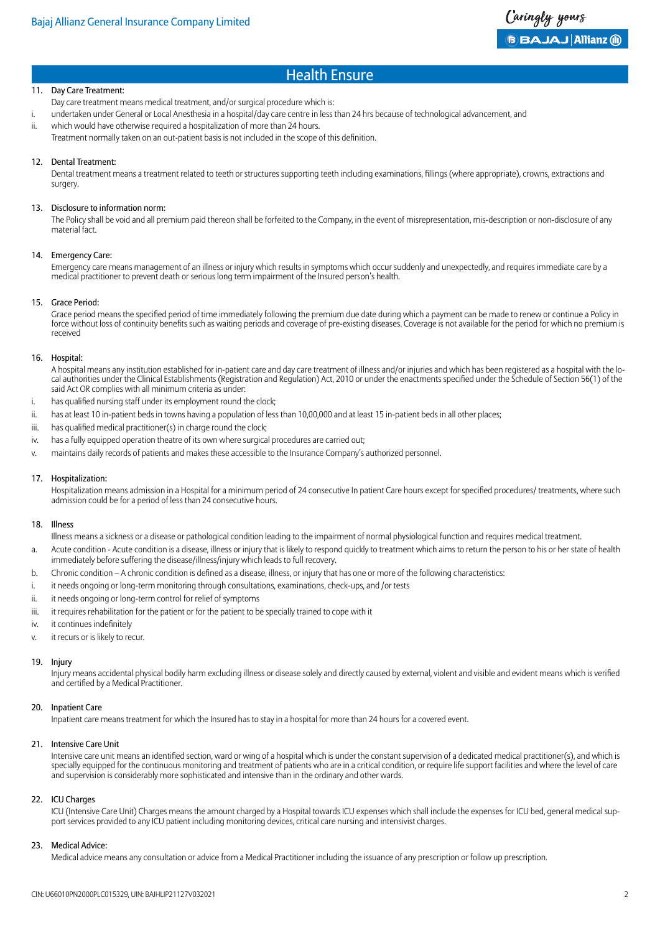#### 11. Day Care Treatment:

Day care treatment means medical treatment, and/or surgical procedure which is:

- i. undertaken under General or Local Anesthesia in a hospital/day care centre in less than 24 hrs because of technological advancement, and
- ii. which would have otherwise required a hospitalization of more than 24 hours. Treatment normally taken on an out-patient basis is not included in the scope of this definition.

#### 12. Dental Treatment:

Dental treatment means a treatment related to teeth or structures supporting teeth including examinations, fillings (where appropriate), crowns, extractions and surgery.

#### 13. Disclosure to information norm:

The Policy shall be void and all premium paid thereon shall be forfeited to the Company, in the event of misrepresentation, mis-description or non-disclosure of any material fact.

#### 14. Emergency Care:

Emergency care means management of an illness or injury which results in symptoms which occur suddenly and unexpectedly, and requires immediate care by a medical practitioner to prevent death or serious long term impairment of the Insured person's health.

#### 15. Grace Period:

Grace period means the specified period of time immediately following the premium due date during which a payment can be made to renew or continue a Policy in force without loss of continuity benefits such as waiting periods and coverage of pre-existing diseases. Coverage is not available for the period for which no premium is received

#### 16. Hospital:

A hospital means any institution established for in-patient care and day care treatment of illness and/or injuries and which has been registered as a hospital with the local authorities under the Clinical Establishments (Registration and Regulation) Act, 2010 or under the enactments specified under the Schedule of Section 56(1) of the said Act OR complies with all minimum criteria as under:

- i. has qualified nursing staff under its employment round the clock;
- ii. has at least 10 in-patient beds in towns having a population of less than 10,00,000 and at least 15 in-patient beds in all other places;
- iii. has qualified medical practitioner(s) in charge round the clock;
- iv. has a fully equipped operation theatre of its own where surgical procedures are carried out;
- v. maintains daily records of patients and makes these accessible to the Insurance Company's authorized personnel.

#### 17. Hospitalization:

Hospitalization means admission in a Hospital for a minimum period of 24 consecutive In patient Care hours except for specified procedures/ treatments, where such admission could be for a period of less than 24 consecutive hours.

#### 18. Illness

Illness means a sickness or a disease or pathological condition leading to the impairment of normal physiological function and requires medical treatment.

- a. Acute condition Acute condition is a disease, illness or injury that is likely to respond quickly to treatment which aims to return the person to his or her state of health immediately before suffering the disease/illness/injury which leads to full recovery.
- b. Chronic condition A chronic condition is defined as a disease, illness, or injury that has one or more of the following characteristics:
- i. it needs ongoing or long-term monitoring through consultations, examinations, check-ups, and /or tests
- ii. it needs ongoing or long-term control for relief of symptoms
- iii. it requires rehabilitation for the patient or for the patient to be specially trained to cope with it
- iv. it continues indefinitely
- v. it recurs or is likely to recur.

#### 19. Injury

Injury means accidental physical bodily harm excluding illness or disease solely and directly caused by external, violent and visible and evident means which is verified and certified by a Medical Practitioner.

#### 20. Inpatient Care

Inpatient care means treatment for which the Insured has to stay in a hospital for more than 24 hours for a covered event.

#### 21. Intensive Care Unit

Intensive care unit means an identified section, ward or wing of a hospital which is under the constant supervision of a dedicated medical practitioner(s), and which is specially equipped for the continuous monitoring and treatment of patients who are in a critical condition, or require life support facilities and where the level of care and supervision is considerably more sophisticated and intensive than in the ordinary and other wards.

#### 22. ICU Charges

ICU (Intensive Care Unit) Charges means the amount charged by a Hospital towards ICU expenses which shall include the expenses for ICU bed, general medical support services provided to any ICU patient including monitoring devices, critical care nursing and intensivist charges.

#### 23. Medical Advice:

Medical advice means any consultation or advice from a Medical Practitioner including the issuance of any prescription or follow up prescription.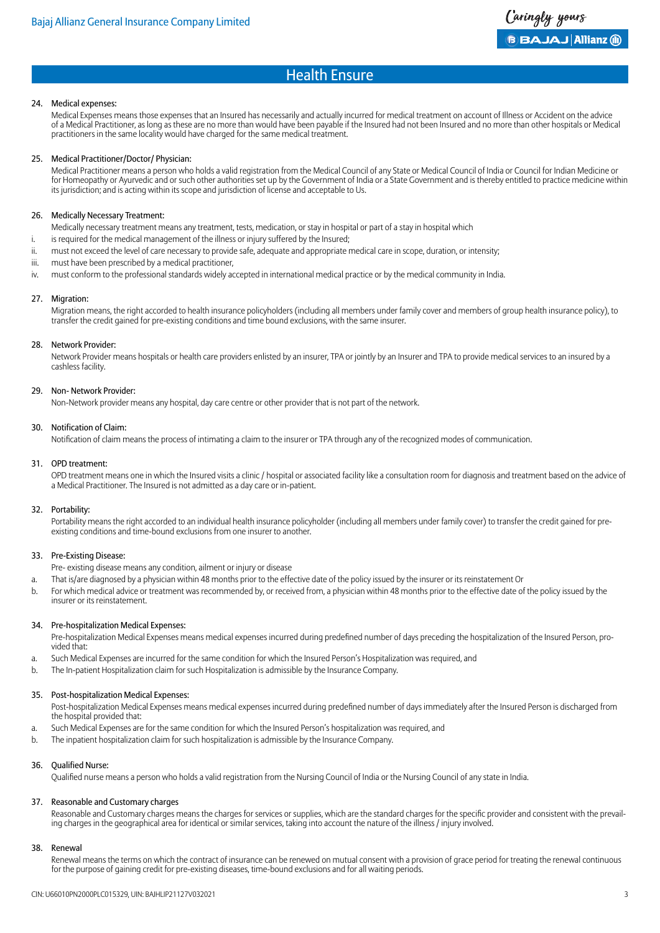#### 24. Medical expenses:

Medical Expenses means those expenses that an Insured has necessarily and actually incurred for medical treatment on account of Illness or Accident on the advice of a Medical Practitioner, as long as these are no more than would have been payable if the Insured had not been Insured and no more than other hospitals or Medical practitioners in the same locality would have charged for the same medical treatment.

#### 25. Medical Practitioner/Doctor/ Physician:

Medical Practitioner means a person who holds a valid registration from the Medical Council of any State or Medical Council of India or Council for Indian Medicine or for Homeopathy or Ayurvedic and or such other authorities set up by the Government of India or a State Government and is thereby entitled to practice medicine within its jurisdiction; and is acting within its scope and jurisdiction of license and acceptable to Us.

#### 26. Medically Necessary Treatment:

- Medically necessary treatment means any treatment, tests, medication, or stay in hospital or part of a stay in hospital which
- i. is required for the medical management of the illness or injury suffered by the Insured;
- ii. must not exceed the level of care necessary to provide safe, adequate and appropriate medical care in scope, duration, or intensity;
- iii. must have been prescribed by a medical practitioner,
- iv. must conform to the professional standards widely accepted in international medical practice or by the medical community in India.

#### 27. Migration:

Migration means, the right accorded to health insurance policyholders (including all members under family cover and members of group health insurance policy), to transfer the credit gained for pre-existing conditions and time bound exclusions, with the same insurer.

#### 28. Network Provider:

Network Provider means hospitals or health care providers enlisted by an insurer, TPA or jointly by an Insurer and TPA to provide medical services to an insured by a cashless facility.

#### 29. Non- Network Provider:

Non-Network provider means any hospital, day care centre or other provider that is not part of the network.

#### 30. Notification of Claim:

Notification of claim means the process of intimating a claim to the insurer or TPA through any of the recognized modes of communication.

#### 31. OPD treatment:

OPD treatment means one in which the Insured visits a clinic / hospital or associated facility like a consultation room for diagnosis and treatment based on the advice of a Medical Practitioner. The Insured is not admitted as a day care or in-patient.

#### 32. Portability:

Portability means the right accorded to an individual health insurance policyholder (including all members under family cover) to transfer the credit gained for preexisting conditions and time-bound exclusions from one insurer to another.

#### 33. Pre-Existing Disease:

Pre- existing disease means any condition, ailment or injury or disease

- a. That is/are diagnosed by a physician within 48 months prior to the effective date of the policy issued by the insurer or its reinstatement Or
- b. For which medical advice or treatment was recommended by, or received from, a physician within 48 months prior to the effective date of the policy issued by the insurer or its reinstatement.

#### 34. Pre-hospitalization Medical Expenses:

Pre-hospitalization Medical Expenses means medical expenses incurred during predefined number of days preceding the hospitalization of the Insured Person, provided that:

- a. Such Medical Expenses are incurred for the same condition for which the Insured Person's Hospitalization was required, and
- b. The In-patient Hospitalization claim for such Hospitalization is admissible by the Insurance Company.

#### 35. Post-hospitalization Medical Expenses:

Post-hospitalization Medical Expenses means medical expenses incurred during predefined number of days immediately after the Insured Person is discharged from the hospital provided that:

- a. Such Medical Expenses are for the same condition for which the Insured Person's hospitalization was required, and
- b. The inpatient hospitalization claim for such hospitalization is admissible by the Insurance Company.

#### 36. Qualified Nurse:

Qualified nurse means a person who holds a valid registration from the Nursing Council of India or the Nursing Council of any state in India.

#### 37. Reasonable and Customary charges

Reasonable and Customary charges means the charges for services or supplies, which are the standard charges for the specific provider and consistent with the prevailing charges in the geographical area for identical or similar services, taking into account the nature of the illness / injury involved.

#### 38. Renewal

Renewal means the terms on which the contract of insurance can be renewed on mutual consent with a provision of grace period for treating the renewal continuous for the purpose of gaining credit for pre-existing diseases, time-bound exclusions and for all waiting periods.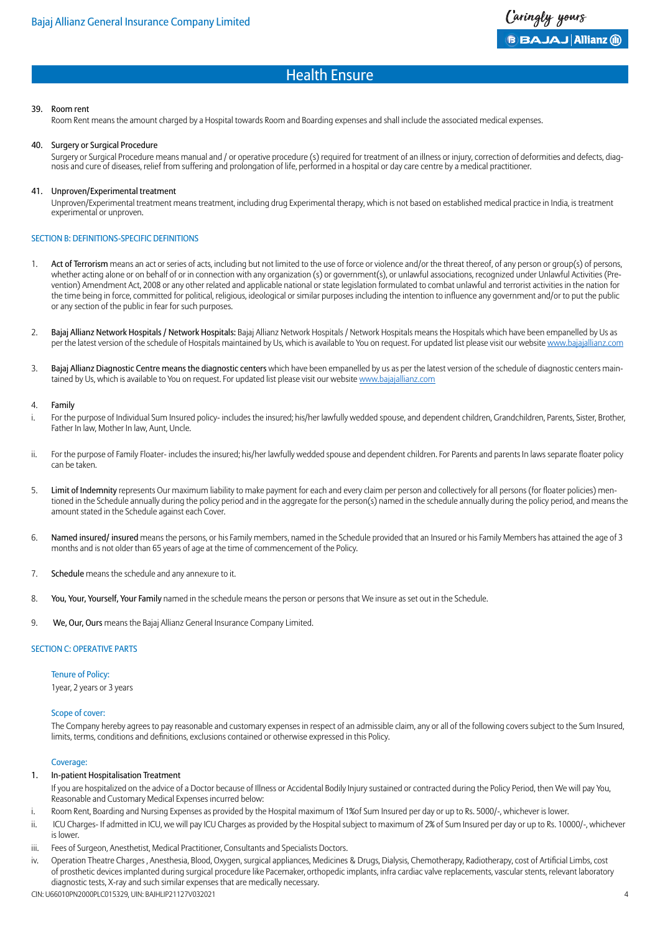#### 39. Room rent

Room Rent means the amount charged by a Hospital towards Room and Boarding expenses and shall include the associated medical expenses.

#### 40. Surgery or Surgical Procedure

Surgery or Surgical Procedure means manual and / or operative procedure (s) required for treatment of an illness or injury, correction of deformities and defects, diagnosis and cure of diseases, relief from suffering and prolongation of life, performed in a hospital or day care centre by a medical practitioner.

#### 41. Unproven/Experimental treatment

Unproven/Experimental treatment means treatment, including drug Experimental therapy, which is not based on established medical practice in India, is treatment experimental or unproven.

#### SECTION B: DEFINITIONS-SPECIFIC DEFINITIONS

- 1. Act of Terrorism means an act or series of acts, including but not limited to the use of force or violence and/or the threat thereof, of any person or group(s) of persons, whether acting alone or on behalf of or in connection with any organization (s) or government(s), or unlawful associations, recognized under Unlawful Activities (Prevention) Amendment Act, 2008 or any other related and applicable national or state legislation formulated to combat unlawful and terrorist activities in the nation for the time being in force, committed for political, religious, ideological or similar purposes including the intention to influence any government and/or to put the public or any section of the public in fear for such purposes.
- 2. Bajaj Allianz Network Hospitals / Network Hospitals: Bajaj Allianz Network Hospitals / Network Hospitals means the Hospitals which have been empanelled by Us as per the latest version of the schedule of Hospitals maintained by Us, which is available to You on request. For updated list please visit our website [www.bajajallianz.com](http://www.bajajallianz.com)
- 3. Bajaj Allianz Diagnostic Centre means the diagnostic centers which have been empanelled by us as per the latest version of the schedule of diagnostic centers maintained by Us, which is available to You on request. For updated list please visit our website [www.bajajallianz.com](http://www.bajajallianz.com)

#### 4. Family

- i. For the purpose of Individual Sum Insured policy- includes the insured; his/her lawfully wedded spouse, and dependent children, Grandchildren, Parents, Sister, Brother, Father In law, Mother In law, Aunt, Uncle.
- ii. For the purpose of Family Floater- includes the insured; his/her lawfully wedded spouse and dependent children. For Parents and parents In laws separate floater policy can be taken.
- 5. Limit of Indemnity represents Our maximum liability to make payment for each and every claim per person and collectively for all persons (for floater policies) mentioned in the Schedule annually during the policy period and in the aggregate for the person(s) named in the schedule annually during the policy period, and means the amount stated in the Schedule against each Cover.
- 6. Named insured/ insured means the persons, or his Family members, named in the Schedule provided that an Insured or his Family Members has attained the age of 3 months and is not older than 65 years of age at the time of commencement of the Policy.
- 7. Schedule means the schedule and any annexure to it.
- 8. You, Your, Yourself, Your Family named in the schedule means the person or persons that We insure as set out in the Schedule.
- 9. We, Our, Ours means the Bajaj Allianz General Insurance Company Limited.

#### SECTION C: OPERATIVE PARTS

#### Tenure of Policy: 1year, 2 years or 3 years

#### Scope of cover:

The Company hereby agrees to pay reasonable and customary expenses in respect of an admissible claim, any or all of the following covers subject to the Sum Insured, limits, terms, conditions and definitions, exclusions contained or otherwise expressed in this Policy.

#### Coverage:

#### 1. In-patient Hospitalisation Treatment

- If you are hospitalized on the advice of a Doctor because of Illness or Accidental Bodily Injury sustained or contracted during the Policy Period, then We will pay You, Reasonable and Customary Medical Expenses incurred below:
- i. Room Rent, Boarding and Nursing Expenses as provided by the Hospital maximum of 1% of Sum Insured per day or up to Rs. 5000/-, whichever is lower.
- ii. ICU Charges- If admitted in ICU, we will pay ICU Charges as provided by the Hospital subject to maximum of 2% of Sum Insured per day or up to Rs. 10000/-, whichever is lower.
- iii. Fees of Surgeon, Anesthetist, Medical Practitioner, Consultants and Specialists Doctors.
- iv. Operation Theatre Charges , Anesthesia, Blood, Oxygen, surgical appliances, Medicines & Drugs, Dialysis, Chemotherapy, Radiotherapy, cost of Artificial Limbs, cost of prosthetic devices implanted during surgical procedure like Pacemaker, orthopedic implants, infra cardiac valve replacements, vascular stents, relevant laboratory diagnostic tests, X-ray and such similar expenses that are medically necessary.

CIN: U66010PN2000PLC015329, UIN: BAJHLIP21127V032021 4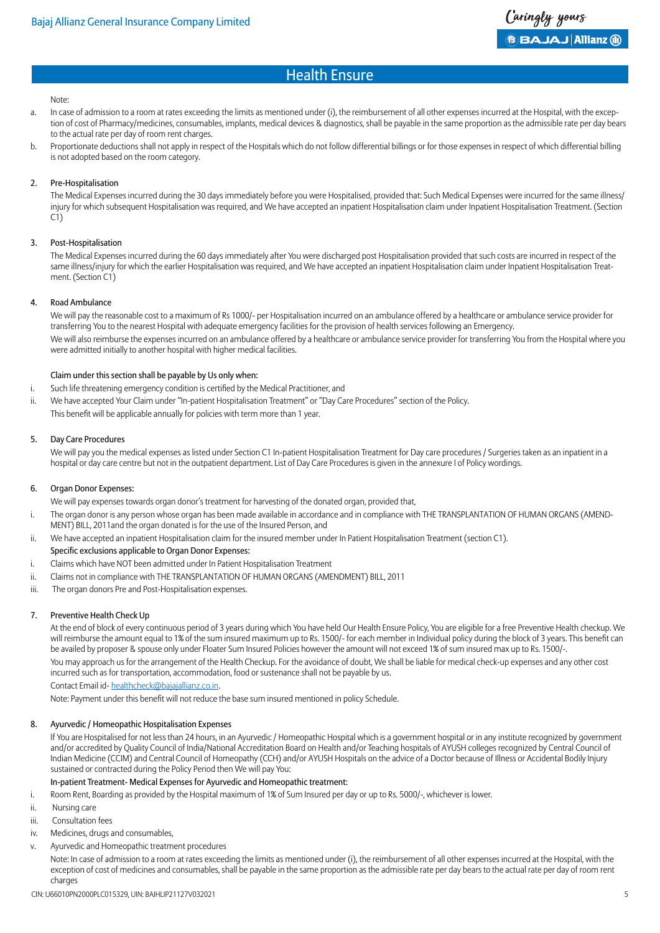#### Note:

- a. In case of admission to a room at rates exceeding the limits as mentioned under (i), the reimbursement of all other expenses incurred at the Hospital, with the exception of cost of Pharmacy/medicines, consumables, implants, medical devices & diagnostics, shall be payable in the same proportion as the admissible rate per day bears to the actual rate per day of room rent charges.
- b. Proportionate deductions shall not apply in respect of the Hospitals which do not follow differential billings or for those expenses in respect of which differential billing is not adopted based on the room category.

#### 2. Pre-Hospitalisation

The Medical Expenses incurred during the 30 days immediately before you were Hospitalised, provided that: Such Medical Expenses were incurred for the same illness/ injury for which subsequent Hospitalisation was required, and We have accepted an inpatient Hospitalisation claim under Inpatient Hospitalisation Treatment. (Section  $(i)$ 

#### 3. Post-Hospitalisation

The Medical Expenses incurred during the 60 days immediately after You were discharged post Hospitalisation provided that such costs are incurred in respect of the same illness/injury for which the earlier Hospitalisation was required, and We have accepted an inpatient Hospitalisation claim under Inpatient Hospitalisation Treatment. (Section C1)

#### 4. Road Ambulance

We will pay the reasonable cost to a maximum of Rs 1000/- per Hospitalisation incurred on an ambulance offered by a healthcare or ambulance service provider for transferring You to the nearest Hospital with adequate emergency facilities for the provision of health services following an Emergency.

We will also reimburse the expenses incurred on an ambulance offered by a healthcare or ambulance service provider for transferring You from the Hospital where you were admitted initially to another hospital with higher medical facilities.

#### Claim under this section shall be payable by Us only when:

- i. Such life threatening emergency condition is certified by the Medical Practitioner, and
- ii. We have accepted Your Claim under "In-patient Hospitalisation Treatment" or "Day Care Procedures" section of the Policy. This benefit will be applicable annually for policies with term more than 1 year.

#### 5. Day Care Procedures

We will pay you the medical expenses as listed under Section C1 In-patient Hospitalisation Treatment for Day care procedures / Surgeries taken as an inpatient in a hospital or day care centre but not in the outpatient department. List of Day Care Procedures is given in the annexure I of Policy wordings.

#### 6. Organ Donor Expenses:

We will pay expenses towards organ donor's treatment for harvesting of the donated organ, provided that,

- i. The organ donor is any person whose organ has been made available in accordance and in compliance with THE TRANSPLANTATION OF HUMAN ORGANS (AMEND-MENT) BILL, 2011and the organ donated is for the use of the Insured Person, and
- ii. We have accepted an inpatient Hospitalisation claim for the insured member under In Patient Hospitalisation Treatment (section C1).

#### Specific exclusions applicable to Organ Donor Expenses:

- i. Claims which have NOT been admitted under In Patient Hospitalisation Treatment
- ii. Claims not in compliance with THE TRANSPLANTATION OF HUMAN ORGANS (AMENDMENT) BILL, 2011
- iii. The organ donors Pre and Post-Hospitalisation expenses.

#### 7. Preventive Health Check Up

At the end of block of every continuous period of 3 years during which You have held Our Health Ensure Policy, You are eligible for a free Preventive Health checkup. We will reimburse the amount equal to 1% of the sum insured maximum up to Rs. 1500/- for each member in Individual policy during the block of 3 years. This benefit can be availed by proposer & spouse only under Floater Sum Insured Policies however the amount will not exceed 1% of sum insured max up to Rs. 1500/-. You may approach us for the arrangement of the Health Checkup. For the avoidance of doubt, We shall be liable for medical check-up expenses and any other cost incurred such as for transportation, accommodation, food or sustenance shall not be payable by us.

Contact Email id- [healthcheck@bajajallianz.co.in](mailto:healthcheck@bajajallianz.co.in).

Note: Payment under this benefit will not reduce the base sum insured mentioned in policy Schedule.

#### 8. Ayurvedic / Homeopathic Hospitalisation Expenses

If You are Hospitalised for not less than 24 hours, in an Ayurvedic / Homeopathic Hospital which is a government hospital or in any institute recognized by government and/or accredited by Quality Council of India/National Accreditation Board on Health and/or Teaching hospitals of AYUSH colleges recognized by Central Council of Indian Medicine (CCIM) and Central Council of Homeopathy (CCH) and/or AYUSH Hospitals on the advice of a Doctor because of Illness or Accidental Bodily Injury sustained or contracted during the Policy Period then We will pay You:

#### In-patient Treatment- Medical Expenses for Ayurvedic and Homeopathic treatment:

i. Room Rent, Boarding as provided by the Hospital maximum of 1% of Sum Insured per day or up to Rs. 5000/-, whichever is lower.

- ii. Nursing care
- iii. Consultation fees
- iv. Medicines, drugs and consumables,
- v. Ayurvedic and Homeopathic treatment procedures

Note: In case of admission to a room at rates exceeding the limits as mentioned under (i), the reimbursement of all other expenses incurred at the Hospital, with the exception of cost of medicines and consumables, shall be payable in the same proportion as the admissible rate per day bears to the actual rate per day of room rent charges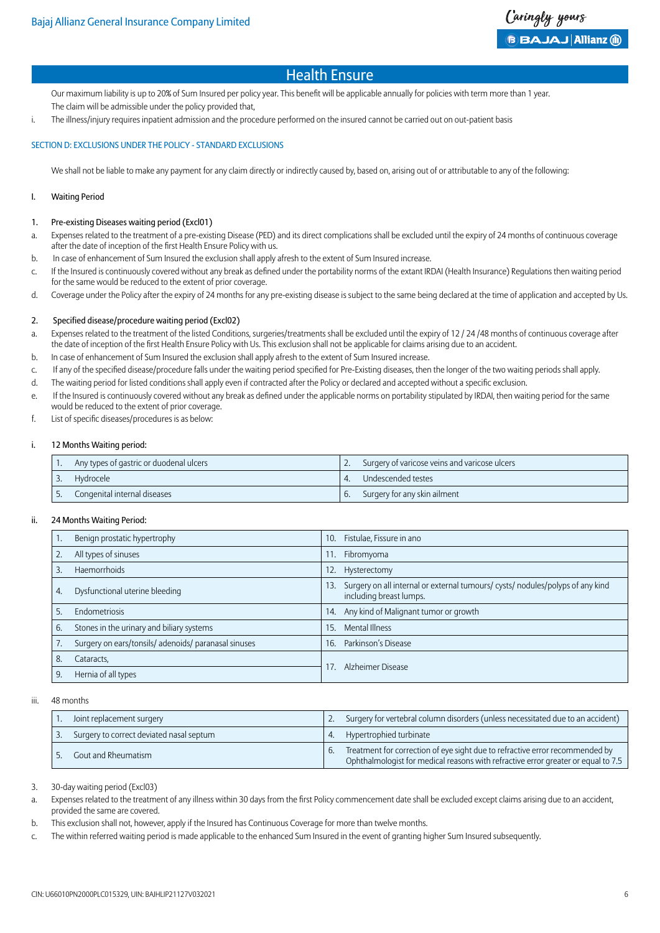Our maximum liability is up to 20% of Sum Insured per policy year. This benefit will be applicable annually for policies with term more than 1 year. The claim will be admissible under the policy provided that,

i. The illness/injury requires inpatient admission and the procedure performed on the insured cannot be carried out on out-patient basis

#### SECTION D: EXCLUSIONS UNDER THE POLICY - STANDARD EXCLUSIONS

We shall not be liable to make any payment for any claim directly or indirectly caused by, based on, arising out of or attributable to any of the following:

#### I. Waiting Period

#### 1. Pre-existing Diseases waiting period (Excl01)

- a. Expenses related to the treatment of a pre-existing Disease (PED) and its direct complications shall be excluded until the expiry of 24 months of continuous coverage after the date of inception of the first Health Ensure Policy with us.
- b. In case of enhancement of Sum Insured the exclusion shall apply afresh to the extent of Sum Insured increase.
- c. If the Insured is continuously covered without any break as defined under the portability norms of the extant IRDAI (Health Insurance) Regulations then waiting period for the same would be reduced to the extent of prior coverage.
- d. Coverage under the Policy after the expiry of 24 months for any pre-existing disease is subject to the same being declared at the time of application and accepted by Us.

#### 2. Specified disease/procedure waiting period (Excl02)

- a. Expenses related to the treatment of the listed Conditions, surgeries/treatments shall be excluded until the expiry of 12/24/48 months of continuous coverage after the date of inception of the first Health Ensure Policy with Us. This exclusion shall not be applicable for claims arising due to an accident.
- b. In case of enhancement of Sum Insured the exclusion shall apply afresh to the extent of Sum Insured increase.
- c. If any of the specified disease/procedure falls under the waiting period specified for Pre-Existing diseases, then the longer of the two waiting periods shall apply.
- d. The waiting period for listed conditions shall apply even if contracted after the Policy or declared and accepted without a specific exclusion.
- e. If the Insured is continuously covered without any break as defined under the applicable norms on portability stipulated by IRDAI, then waiting period for the same would be reduced to the extent of prior coverage.
- f. List of specific diseases/procedures is as below:

#### i. 12 Months Waiting period:

| Any types of gastric or duodenal ulcers | Surgery of varicose veins and varicose ulcers |
|-----------------------------------------|-----------------------------------------------|
| Hydrocele<br>C.                         | Undescended testes                            |
| Congenital internal diseases            | Surgery for any skin ailment                  |

#### ii. 24 Months Waiting Period:

|    | Benign prostatic hypertrophy                         | Fistulae, Fissure in ano<br>10.                                                                                  |
|----|------------------------------------------------------|------------------------------------------------------------------------------------------------------------------|
| 2. | All types of sinuses                                 | Fibromyoma<br>11.                                                                                                |
| 3. | <b>Haemorrhoids</b>                                  | Hysterectomy<br>12.                                                                                              |
| 4. | Dysfunctional uterine bleeding                       | Surgery on all internal or external tumours/ cysts/ nodules/polyps of any kind<br>13.<br>including breast lumps. |
| 5. | Endometriosis                                        | Any kind of Malignant tumor or growth<br>14.                                                                     |
| 6. | Stones in the urinary and biliary systems            | <b>Mental Illness</b><br>15.                                                                                     |
|    | Surgery on ears/tonsils/ adenoids/ paranasal sinuses | Parkinson's Disease<br>16.                                                                                       |
| 8. | Cataracts,                                           | Alzheimer Disease                                                                                                |
| 9. | Hernia of all types                                  |                                                                                                                  |

#### iii. 48 months

| Joint replacement surgery                |    | Surgery for vertebral column disorders (unless necessitated due to an accident)                                                                                   |
|------------------------------------------|----|-------------------------------------------------------------------------------------------------------------------------------------------------------------------|
| Surgery to correct deviated nasal septum |    | Hypertrophied turbinate                                                                                                                                           |
| Gout and Rheumatism                      | 6. | Treatment for correction of eye sight due to refractive error recommended by<br>Ophthalmologist for medical reasons with refractive error greater or equal to 7.5 |

3. 30-day waiting period (Excl03)

a. Expenses related to the treatment of any illness within 30 days from the first Policy commencement date shall be excluded except claims arising due to an accident, provided the same are covered.

- b. This exclusion shall not, however, apply if the Insured has Continuous Coverage for more than twelve months.
- c. The within referred waiting period is made applicable to the enhanced Sum Insured in the event of granting higher Sum Insured subsequently.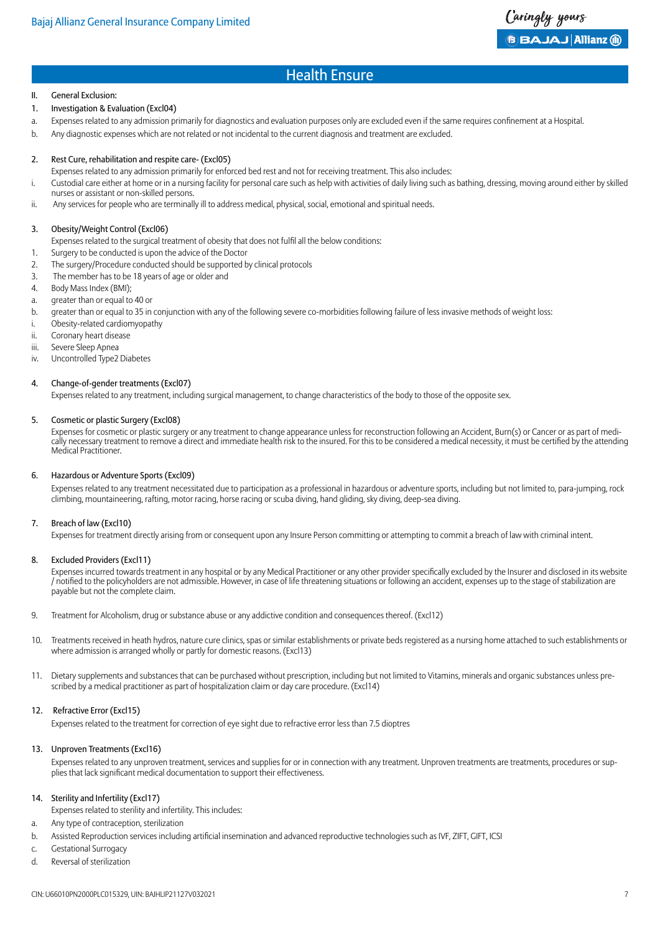Caringly yours  $\mathbf{B}$  BAJAJ Allianz (ii)

### Health Ensure

#### II. General Exclusion:

- 1. Investigation & Evaluation (Excl04)
- a. Expenses related to any admission primarily for diagnostics and evaluation purposes only are excluded even if the same requires confinement at a Hospital.
- b. Any diagnostic expenses which are not related or not incidental to the current diagnosis and treatment are excluded.

#### 2. Rest Cure, rehabilitation and respite care- (Excl05)

- Expenses related to any admission primarily for enforced bed rest and not for receiving treatment. This also includes:
- i. Custodial care either at home or in a nursing facility for personal care such as help with activities of daily living such as bathing, dressing, moving around either by skilled nurses or assistant or non-skilled persons.
- ii. Any services for people who are terminally ill to address medical, physical, social, emotional and spiritual needs.

#### 3. Obesity/Weight Control (Excl06)

Expenses related to the surgical treatment of obesity that does not fulfil all the below conditions:

- 1. Surgery to be conducted is upon the advice of the Doctor
- 2. The surgery/Procedure conducted should be supported by clinical protocols
- 3. The member has to be 18 years of age or older and
- 4. Body Mass Index (BMI);
- a. greater than or equal to 40 or
- b. greater than or equal to 35 in conjunction with any of the following severe co-morbidities following failure of less invasive methods of weight loss:
- i. Obesity-related cardiomyopathy
- ii. Coronary heart disease
- iii. Severe Sleep Apnea
- iv. Uncontrolled Type2 Diabetes

#### 4. Change-of-gender treatments (Excl07)

Expenses related to any treatment, including surgical management, to change characteristics of the body to those of the opposite sex.

#### 5. Cosmetic or plastic Surgery (Excl08)

Expenses for cosmetic or plastic surgery or any treatment to change appearance unless for reconstruction following an Accident, Burn(s) or Cancer or as part of medically necessary treatment to remove a direct and immediate health risk to the insured. For this to be considered a medical necessity, it must be certified by the attending Medical Practitioner.

#### 6. Hazardous or Adventure Sports (Excl09)

Expenses related to any treatment necessitated due to participation as a professional in hazardous or adventure sports, including but not limited to, para-jumping, rock climbing, mountaineering, rafting, motor racing, horse racing or scuba diving, hand gliding, sky diving, deep-sea diving.

#### 7. Breach of law (Excl10)

Expenses for treatment directly arising from or consequent upon any Insure Person committing or attempting to commit a breach of law with criminal intent.

#### 8. Excluded Providers (Excl11)

Expenses incurred towards treatment in any hospital or by any Medical Practitioner or any other provider specifically excluded by the Insurer and disclosed in its website / notified to the policyholders are not admissible. However, in case of life threatening situations or following an accident, expenses up to the stage of stabilization are payable but not the complete claim.

- 9. Treatment for Alcoholism, drug or substance abuse or any addictive condition and consequences thereof. (Excl12)
- 10. Treatments received in heath hydros, nature cure clinics, spas or similar establishments or private beds registered as a nursing home attached to such establishments or where admission is arranged wholly or partly for domestic reasons. (Excl13)
- 11. Dietary supplements and substances that can be purchased without prescription, including but not limited to Vitamins, minerals and organic substances unless prescribed by a medical practitioner as part of hospitalization claim or day care procedure. (Excl14)

#### 12. Refractive Error (Excl15)

Expenses related to the treatment for correction of eye sight due to refractive error less than 7.5 dioptres

#### 13. Unproven Treatments (Excl16)

Expenses related to any unproven treatment, services and supplies for or in connection with any treatment. Unproven treatments are treatments, procedures or supplies that lack significant medical documentation to support their effectiveness.

#### 14. Sterility and Infertility (Excl17)

- Expenses related to sterility and infertility. This includes:
- a. Any type of contraception, sterilization
- b. Assisted Reproduction services including artificial insemination and advanced reproductive technologies such as IVF, ZIFT, GIFT, ICSI
- c. Gestational Surrogacy
- d. Reversal of sterilization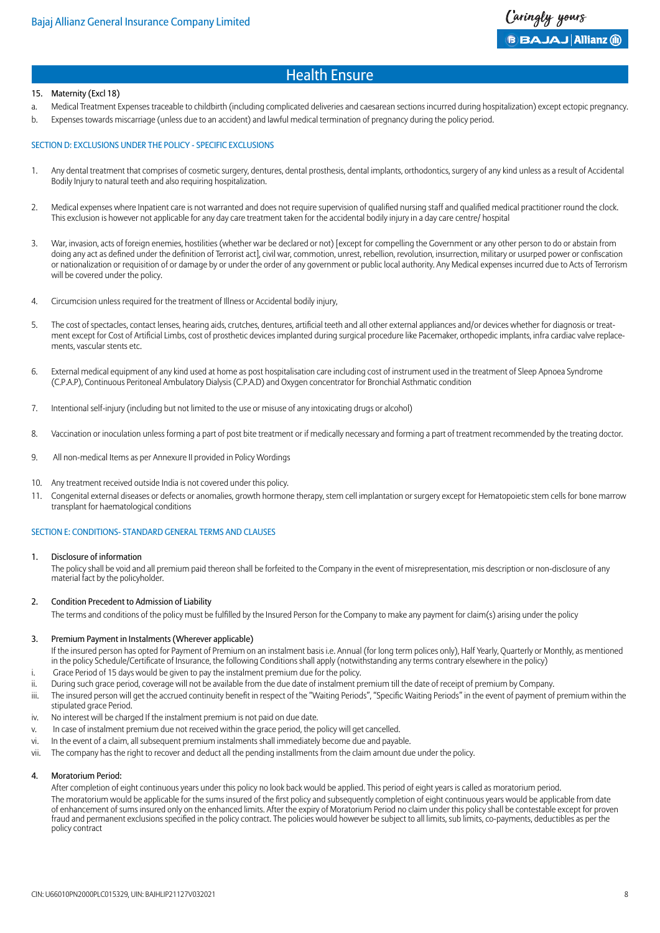#### 15. Maternity (Excl 18)

- a. Medical Treatment Expenses traceable to childbirth (including complicated deliveries and caesarean sections incurred during hospitalization) except ectopic pregnancy.
- b. Expenses towards miscarriage (unless due to an accident) and lawful medical termination of pregnancy during the policy period.

#### SECTION D: EXCLUSIONS UNDER THE POLICY - SPECIFIC EXCLUSIONS

- 1. Any dental treatment that comprises of cosmetic surgery, dentures, dental prosthesis, dental implants, orthodontics, surgery of any kind unless as a result of Accidental Bodily Injury to natural teeth and also requiring hospitalization.
- 2. Medical expenses where Inpatient care is not warranted and does not require supervision of qualified nursing staff and qualified medical practitioner round the clock. This exclusion is however not applicable for any day care treatment taken for the accidental bodily injury in a day care centre/ hospital
- 3. War, invasion, acts of foreign enemies, hostilities (whether war be declared or not) [except for compelling the Government or any other person to do or abstain from doing any act as defined under the definition of Terrorist act], civil war, commotion, unrest, rebellion, revolution, insurrection, military or usurped power or confiscation or nationalization or requisition of or damage by or under the order of any government or public local authority. Any Medical expenses incurred due to Acts of Terrorism will be covered under the policy.
- 4. Circumcision unless required for the treatment of Illness or Accidental bodily injury,
- 5. The cost of spectacles, contact lenses, hearing aids, crutches, dentures, artificial teeth and all other external appliances and/or devices whether for diagnosis or treatment except for Cost of Artificial Limbs, cost of prosthetic devices implanted during surgical procedure like Pacemaker, orthopedic implants, infra cardiac valve replacements, vascular stents etc.
- 6. External medical equipment of any kind used at home as post hospitalisation care including cost of instrument used in the treatment of Sleep Apnoea Syndrome (C.P.A.P), Continuous Peritoneal Ambulatory Dialysis (C.P.A.D) and Oxygen concentrator for Bronchial Asthmatic condition
- 7. Intentional self-injury (including but not limited to the use or misuse of any intoxicating drugs or alcohol)
- 8. Vaccination or inoculation unless forming a part of post bite treatment or if medically necessary and forming a part of treatment recommended by the treating doctor.
- 9. All non-medical Items as per Annexure II provided in Policy Wordings
- 10. Any treatment received outside India is not covered under this policy.
- 11. Congenital external diseases or defects or anomalies, growth hormone therapy, stem cell implantation or surgery except for Hematopoietic stem cells for bone marrow transplant for haematological conditions

#### SECTION E: CONDITIONS- STANDARD GENERAL TERMS AND CLAUSES

#### 1. Disclosure of information

The policy shall be void and all premium paid thereon shall be forfeited to the Company in the event of misrepresentation, mis description or non-disclosure of any material fact by the policyholder.

#### 2. Condition Precedent to Admission of Liability

The terms and conditions of the policy must be fulfilled by the Insured Person for the Company to make any payment for claim(s) arising under the policy

#### 3. Premium Payment in Instalments (Wherever applicable)

- If the insured person has opted for Payment of Premium on an instalment basis i.e. Annual (for long term polices only), Half Yearly, Quarterly or Monthly, as mentioned in the policy Schedule/Certificate of Insurance, the following Conditions shall apply (notwithstanding any terms contrary elsewhere in the policy)
- i. Grace Period of 15 days would be given to pay the instalment premium due for the policy.
- ii. During such grace period, coverage will not be available from the due date of instalment premium till the date of receipt of premium by Company.
- iii. The insured person will get the accrued continuity benefit in respect of the "Waiting Periods", "Specific Waiting Periods" in the event of payment of premium within the stipulated grace Period.
- iv. No interest will be charged If the instalment premium is not paid on due date.
- v. In case of instalment premium due not received within the grace period, the policy will get cancelled.
- vi. In the event of a claim, all subsequent premium instalments shall immediately become due and payable.
- vii. The company has the right to recover and deduct all the pending installments from the claim amount due under the policy.

#### 4. Moratorium Period:

After completion of eight continuous years under this policy no look back would be applied. This period of eight years is called as moratorium period. The moratorium would be applicable for the sums insured of the first policy and subsequently completion of eight continuous years would be applicable from date of enhancement of sums insured only on the enhanced limits. After the expiry of Moratorium Period no claim under this policy shall be contestable except for proven fraud and permanent exclusions specified in the policy contract. The policies would however be subject to all limits, sub limits, co-payments, deductibles as per the policy contract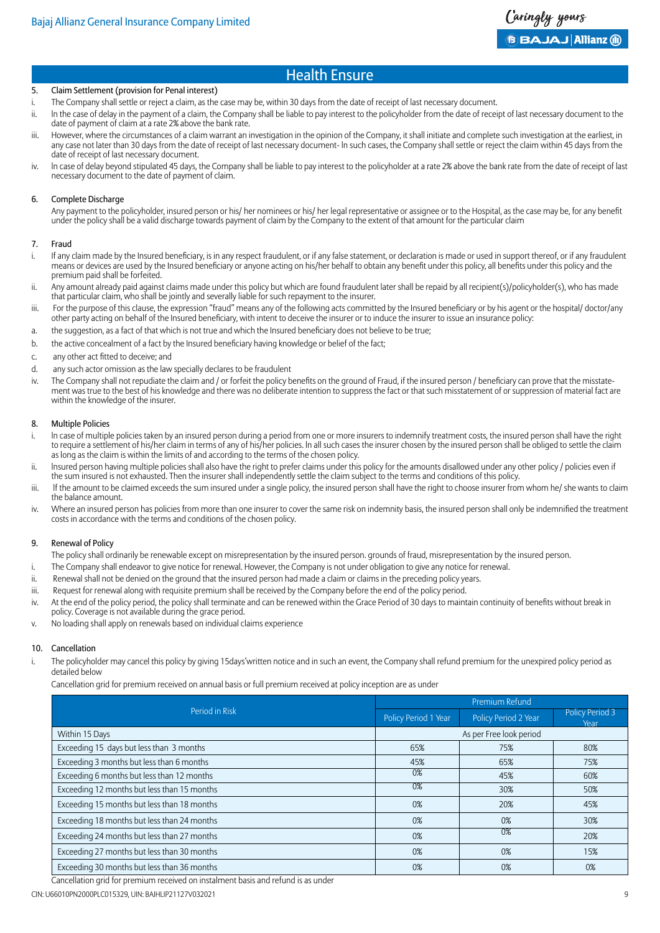#### 5. Claim Settlement (provision for Penal interest)

- i. The Company shall settle or reject a claim, as the case may be, within 30 days from the date of receipt of last necessary document.
- ii. In the case of delay in the payment of a claim, the Company shall be liable to pay interest to the policyholder from the date of receipt of last necessary document to the date of payment of claim at a rate 2% above the bank rate.
- iii. However, where the circumstances of a claim warrant an investigation in the opinion of the Company, it shall initiate and complete such investigation at the earliest, in any case not later than 30 days from the date of receipt of last necessary document- In such cases, the Company shall settle or reject the claim within 45 days from the date of receipt of last necessary document.
- iv. ln case of delay beyond stipulated 45 days, the Company shall be liable to pay interest to the policyholder at a rate 2% above the bank rate from the date of receipt of last necessary document to the date of payment of claim.

#### 6. Complete Discharge

Any payment to the policyholder, insured person or his/ her nominees or his/ her legal representative or assignee or to the Hospital, as the case may be, for any benefit under the policy shall be a valid discharge towards payment of claim by the Company to the extent of that amount for the particular claim

#### 7. Fraud

- i. If any claim made by the Insured beneficiary, is in any respect fraudulent, or if any false statement, or declaration is made or used in support thereof, or if any fraudulent means or devices are used by the Insured beneficiary or anyone acting on his/her behalf to obtain any benefit under this policy, all benefits under this policy and the premium paid shall be forfeited.
- ii. Any amount already paid against claims made under this policy but which are found fraudulent later shall be repaid by all recipient(s)/policyholder(s), who has made that particular claim, who shall be jointly and severally liable for such repayment to the insurer.
- iii. For the purpose of this clause, the expression "fraud" means any of the following acts committed by the Insured beneficiary or by his agent or the hospital/ doctor/any other party acting on behalf of the Insured beneficiary, with intent to deceive the insurer or to induce the insurer to issue an insurance policy:
- a. the suggestion, as a fact of that which is not true and which the Insured beneficiary does not believe to be true;
- b. the active concealment of a fact by the Insured beneficiary having knowledge or belief of the fact;
- c. any other act fitted to deceive; and
- d. any such actor omission as the law specially declares to be fraudulent
- iv. The Company shall not repudiate the claim and / or forfeit the policy benefits on the ground of Fraud, if the insured person / beneficiary can prove that the misstatement was true to the best of his knowledge and there was no deliberate intention to suppress the fact or that such misstatement of or suppression of material fact are within the knowledge of the insurer.

#### 8. Multiple Policies

- i. In case of multiple policies taken by an insured person during a period from one or more insurers to indemnify treatment costs, the insured person shall have the right to require a settlement of his/her claim in terms of any of his/her policies. ln all such cases the insurer chosen by the insured person shall be obliged to settle the claim as long as the claim is within the limits of and according to the terms of the chosen policy.
- ii. Insured person having multiple policies shall also have the right to prefer claims under this policy for the amounts disallowed under any other policy / policies even if the sum insured is not exhausted. Then the insurer shall independently settle the claim subject to the terms and conditions of this policy.
- iii. If the amount to be claimed exceeds the sum insured under a single policy, the insured person shall have the right to choose insurer from whom he/ she wants to claim the balance amount.
- iv. Where an insured person has policies from more than one insurer to cover the same risk on indemnity basis, the insured person shall only be indemnified the treatment costs in accordance with the terms and conditions of the chosen policy.

#### 9. Renewal of Policy

- The policy shall ordinarily be renewable except on misrepresentation by the insured person. grounds of fraud, misrepresentation by the insured person.
- i. The Company shall endeavor to give notice for renewal. However, the Company is not under obligation to give any notice for renewal.
- ii. Renewal shall not be denied on the ground that the insured person had made a claim or claims in the preceding policy years.
- iii. Request for renewal along with requisite premium shall be received by the Company before the end of the policy period.
- iv. At the end of the policy period, the policy shall terminate and can be renewed within the Grace Period of 30 days to maintain continuity of benefits without break in policy. Coverage is not available during the grace period.
- v. No loading shall apply on renewals based on individual claims experience

#### 10. Cancellation

i. The policyholder may cancel this policy by giving 15days'written notice and in such an event, the Company shall refund premium for the unexpired policy period as detailed below

Cancellation grid for premium received on annual basis or full premium received at policy inception are as under

|                                             | Premium Refund       |                         |                         |
|---------------------------------------------|----------------------|-------------------------|-------------------------|
| Period in Risk                              | Policy Period 1 Year | Policy Period 2 Year    | Policy Period 3<br>Year |
| Within 15 Days                              |                      | As per Free look period |                         |
| Exceeding 15 days but less than 3 months    | 65%                  | 75%                     | 80%                     |
| Exceeding 3 months but less than 6 months   | 45%                  | 65%                     | 75%                     |
| Exceeding 6 months but less than 12 months  | 0%                   | 45%                     | 60%                     |
| Exceeding 12 months but less than 15 months | 0%                   | 30%                     | 50%                     |
| Exceeding 15 months but less than 18 months | 0%                   | 20%                     | 45%                     |
| Exceeding 18 months but less than 24 months | 0%                   | 0%                      | 30%                     |
| Exceeding 24 months but less than 27 months | 0%                   | 0%                      | 20%                     |
| Exceeding 27 months but less than 30 months | 0%                   | 0%                      | 15%                     |
| Exceeding 30 months but less than 36 months | 0%                   | 0%                      | 0%                      |

Cancellation grid for premium received on instalment basis and refund is as under

CIN: U66010PN2000PLC015329, UIN: BAJHLIP21127V032021 9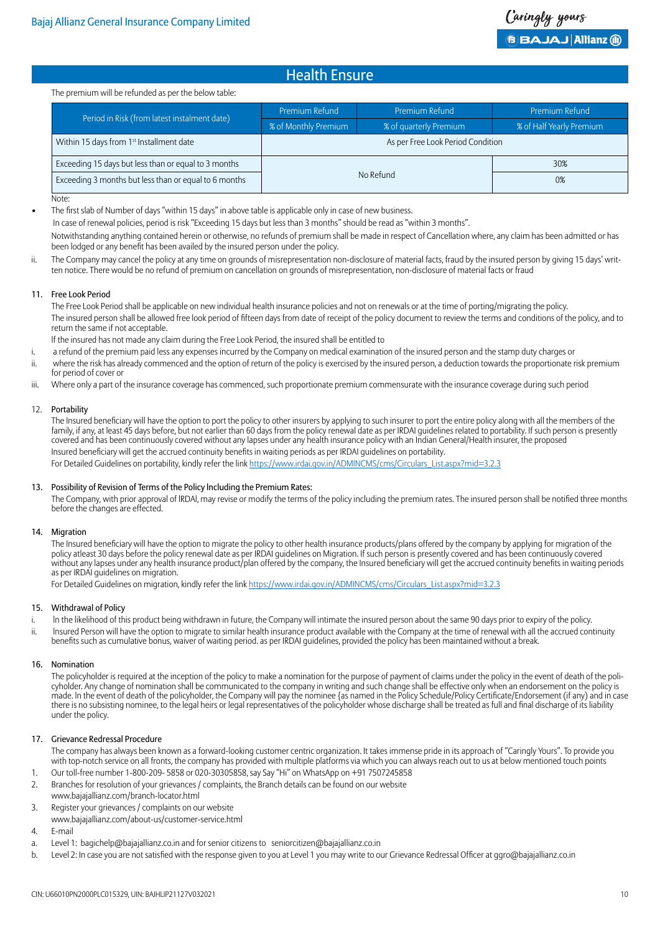#### The premium will be refunded as per the below table:

|                                                       | Premium Refund                    | Premium Refund         | Premium Refund           |
|-------------------------------------------------------|-----------------------------------|------------------------|--------------------------|
| Period in Risk (from latest instalment date)          | % of Monthly Premium              | % of quarterly Premium | % of Half Yearly Premium |
| Within 15 days from 1 <sup>st</sup> Installment date  | As per Free Look Period Condition |                        |                          |
| Exceeding 15 days but less than or equal to 3 months  | 30%<br>No Refund<br>0%            |                        |                          |
| Exceeding 3 months but less than or equal to 6 months |                                   |                        |                          |

Note:

The first slab of Number of days "within 15 days" in above table is applicable only in case of new business.

In case of renewal policies, period is risk "Exceeding 15 days but less than 3 months" should be read as "within 3 months".

Notwithstanding anything contained herein or otherwise, no refunds of premium shall be made in respect of Cancellation where, any claim has been admitted or has been lodged or any benefit has been availed by the insured person under the policy.

ii. The Company may cancel the policy at any time on grounds of misrepresentation non-disclosure of material facts, fraud by the insured person by giving 15 days' written notice. There would be no refund of premium on cancellation on grounds of misrepresentation, non-disclosure of material facts or fraud

#### 11. Free Look Period

The Free Look Period shall be applicable on new individual health insurance policies and not on renewals or at the time of porting/migrating the policy. The insured person shall be allowed free look period of fifteen days from date of receipt of the policy document to review the terms and conditions of the policy, and to return the same if not acceptable.

lf the insured has not made any claim during the Free Look Period, the insured shall be entitled to

- i. a refund of the premium paid less any expenses incurred by the Company on medical examination of the insured person and the stamp duty charges or
- ii. where the risk has already commenced and the option of return of the policy is exercised by the insured person, a deduction towards the proportionate risk premium for period of cover or
- iii. Where only a part of the insurance coverage has commenced, such proportionate premium commensurate with the insurance coverage during such period

#### 12. Portability

The Insured beneficiary will have the option to port the policy to other insurers by applying to such insurer to port the entire policy along with all the members of the family, if any, at least 45 days before, but not earlier than 60 days from the policy renewal date as per IRDAI guidelines related to portability. If such person is presently covered and has been continuously covered without any lapses under any health insurance policy with an Indian General/Health insurer, the proposed Insured beneficiary will get the accrued continuity benefits in waiting periods as per IRDAI guidelines on portability. For Detailed Guidelines on portability, kindly refer the link [https://www.irdai.gov.in/ADMINCMS/cms/Circulars\\_List.aspx?mid=3.2.3](https://www.irdai.gov.in/ADMINCMS/cms/Circulars_List.aspx?mid=3.2.3)

#### 13. Possibility of Revision of Terms of the Policy lncluding the Premium Rates:

The Company, with prior approval of lRDAl, may revise or modify the terms of the policy including the premium rates. The insured person shall be notified three months before the changes are effected.

#### 14. Migration

The Insured beneficiary will have the option to migrate the policy to other health insurance products/plans offered by the company by applying for migration of the policy atleast 30 days before the policy renewal date as per IRDAI guidelines on Migration. If such person is presently covered and has been continuously covered without any lapses under any health insurance product/plan offered by the company, the Insured beneficiary will get the accrued continuity benefits in waiting periods as per IRDAI guidelines on migration.

For Detailed Guidelines on migration, kindly refer the link [https://www.irdai.gov.in/ADMINCMS/cms/Circulars\\_List.aspx?mid=3.2.3](https://www.irdai.gov.in/ADMINCMS/cms/Circulars_List.aspx?mid=3.2.3)

#### 15. Withdrawal of Policy

- i. In the likelihood of this product being withdrawn in future, the Company will intimate the insured person about the same 90 days prior to expiry of the policy. ii. Insured Person will have the option to migrate to similar health insurance product available with the Company at the time of renewal with all the accrued continuity
- benefits such as cumulative bonus, waiver of waiting period. as per IRDAI guidelines, provided the policy has been maintained without a break.

#### 16. Nomination

The policyholder is required at the inception of the policy to make a nomination for the purpose of payment of claims under the policy in the event of death of the policyholder. Any change of nomination shall be communicated to the company in writing and such change shall be effective only when an endorsement on the policy is made. ln the event of death of the policyholder, the Company will pay the nominee {as named in the Policy Schedule/Policy Certificate/Endorsement (if any) and in case there is no subsisting nominee, to the legal heirs or legal representatives of the policyholder whose discharge shall be treated as full and final discharge of its liability under the policy.

#### 17. Grievance Redressal Procedure

The company has always been known as a forward-looking customer centric organization. It takes immense pride in its approach of "Caringly Yours". To provide you with top-notch service on all fronts, the company has provided with multiple platforms via which you can always reach out to us at below mentioned touch points

- 1. Our toll-free number 1-800-209- 5858 or 020-30305858, say Say "Hi" on WhatsApp on +91 7507245858
- 2. Branches for resolution of your grievances / complaints, the Branch details can be found on our website
- www.bajajallianz.com/branch-locator.html
- 3. Register your grievances / complaints on our website
- www.bajajallianz.com/about-us/customer-service.html
- 4. E-mail
- a. Level 1: bagichelp@bajajallianz.co.in and for senior citizens to seniorcitizen@bajajallianz.co.in
- b. Level 2: In case you are not satisfied with the response given to you at Level 1 you may write to our Grievance Redressal Officer at ggro@bajajallianz.co.in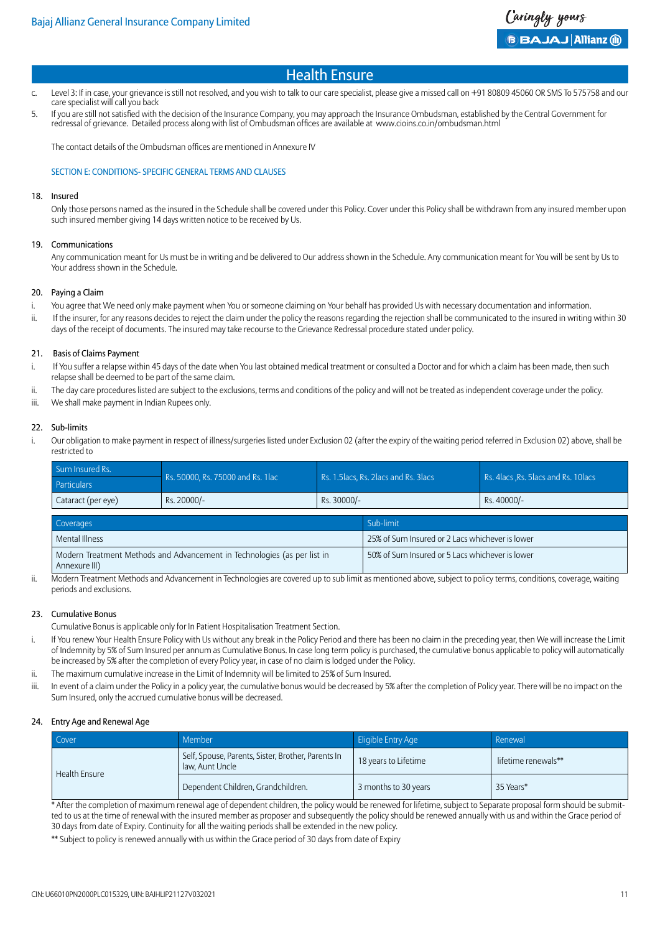- c. Level 3: If in case, your grievance is still not resolved, and you wish to talk to our care specialist, please give a missed call on +91 80809 45060 OR SMS To 575758 and our care specialist will call you back
- 5. If you are still not satisfied with the decision of the Insurance Company, you may approach the Insurance Ombudsman, established by the Central Government for redressal of grievance. Detailed process along with list of Ombudsman offices are available at www.cioins.co.in/ombudsman.html

The contact details of the Ombudsman offices are mentioned in Annexure IV

#### SECTION E: CONDITIONS- SPECIFIC GENERAL TERMS AND CLAUSES

#### 18. Insured

Only those persons named as the insured in the Schedule shall be covered under this Policy. Cover under this Policy shall be withdrawn from any insured member upon such insured member giving 14 days written notice to be received by Us.

#### 19. Communications

Any communication meant for Us must be in writing and be delivered to Our address shown in the Schedule. Any communication meant for You will be sent by Us to Your address shown in the Schedule.

#### 20. Paying a Claim

- i. You agree that We need only make payment when You or someone claiming on Your behalf has provided Us with necessary documentation and information.
- ii. If the insurer, for any reasons decides to reject the claim under the policy the reasons regarding the rejection shall be communicated to the insured in writing within 30 days of the receipt of documents. The insured may take recourse to the Grievance Redressal procedure stated under policy.

#### 21. Basis of Claims Payment

- i. If You suffer a relapse within 45 days of the date when You last obtained medical treatment or consulted a Doctor and for which a claim has been made, then such relapse shall be deemed to be part of the same claim.
- ii. The day care procedures listed are subject to the exclusions, terms and conditions of the policy and will not be treated as independent coverage under the policy.
- iii. We shall make payment in Indian Rupees only.

#### 22. Sub-limits

i. Our obligation to make payment in respect of illness/surgeries listed under Exclusion 02 (after the expiry of the waiting period referred in Exclusion 02) above, shall be restricted to

| Sum Insured Rs.    | Rs. 50000, Rs. 75000 and Rs. 1 lac | Rs. 1.5 lacs. Rs. 2 lacs and Rs. 3 lacs | Rs. 4 acs .Rs. 5 lacs and Rs. 10 lacs |
|--------------------|------------------------------------|-----------------------------------------|---------------------------------------|
| Particulars        |                                    |                                         |                                       |
| Cataract (per eye) | Rs. 20000/-                        | Rs. 30000/-                             | Rs. 40000/-                           |

| Coverages                                                                | Sub-limit                                       |
|--------------------------------------------------------------------------|-------------------------------------------------|
| Mental Illness                                                           | 25% of Sum Insured or 2 Lacs whichever is lower |
| Modern Treatment Methods and Advancement in Technologies (as per list in | 50% of Sum Insured or 5 Lacs whichever is lower |
| Annexure III)                                                            |                                                 |

ii. Modern Treatment Methods and Advancement in Technologies are covered up to sub limit as mentioned above, subject to policy terms, conditions, coverage, waiting periods and exclusions.

#### 23. Cumulative Bonus

Cumulative Bonus is applicable only for In Patient Hospitalisation Treatment Section.

- i. If You renew Your Health Ensure Policy with Us without any break in the Policy Period and there has been no claim in the preceding year, then We will increase the Limit of Indemnity by 5% of Sum Insured per annum as Cumulative Bonus. In case long term policy is purchased, the cumulative bonus applicable to policy will automatically be increased by 5% after the completion of every Policy year, in case of no claim is lodged under the Policy.
- ii. The maximum cumulative increase in the Limit of Indemnity will be limited to 25% of Sum Insured.
- iii. In event of a claim under the Policy in a policy year, the cumulative bonus would be decreased by 5% after the completion of Policy year. There will be no impact on the Sum Insured, only the accrued cumulative bonus will be decreased.

#### 24. Entry Age and Renewal Age

| Cover         | <b>Member</b>                                                         | Eligible Entry Age   | Renewal             |
|---------------|-----------------------------------------------------------------------|----------------------|---------------------|
| Health Ensure | Self, Spouse, Parents, Sister, Brother, Parents In<br>law. Aunt Uncle | 18 years to Lifetime | lifetime renewals** |
|               | Dependent Children, Grandchildren.                                    | 3 months to 30 years | 35 Years*           |

\* After the completion of maximum renewal age of dependent children, the policy would be renewed for lifetime, subject to Separate proposal form should be submitted to us at the time of renewal with the insured member as proposer and subsequently the policy should be renewed annually with us and within the Grace period of 30 days from date of Expiry. Continuity for all the waiting periods shall be extended in the new policy.

\*\* Subject to policy is renewed annually with us within the Grace period of 30 days from date of Expiry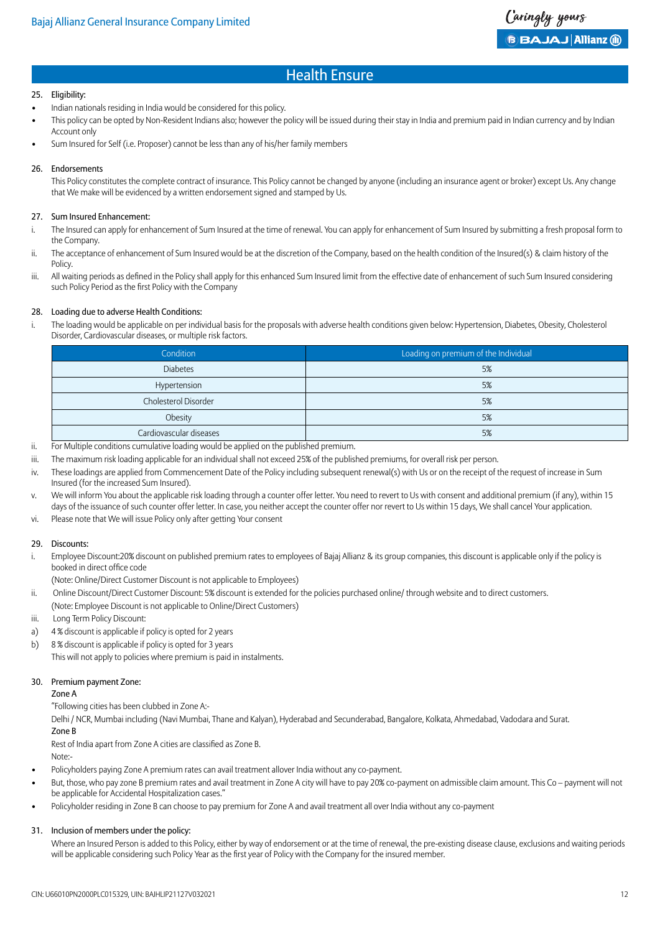#### 25. Eligibility:

- Indian nationals residing in India would be considered for this policy.
- This policy can be opted by Non-Resident Indians also; however the policy will be issued during their stay in India and premium paid in Indian currency and by Indian Account only
- Sum Insured for Self (i.e. Proposer) cannot be less than any of his/her family members

#### 26. Endorsements

This Policy constitutes the complete contract of insurance. This Policy cannot be changed by anyone (including an insurance agent or broker) except Us. Any change that We make will be evidenced by a written endorsement signed and stamped by Us.

#### 27. Sum Insured Enhancement:

- i. The Insured can apply for enhancement of Sum Insured at the time of renewal. You can apply for enhancement of Sum Insured by submitting a fresh proposal form to the Company.
- ii. The acceptance of enhancement of Sum Insured would be at the discretion of the Company, based on the health condition of the Insured(s) & claim history of the **Policy**
- iii. All waiting periods as defined in the Policy shall apply for this enhanced Sum Insured limit from the effective date of enhancement of such Sum Insured considering such Policy Period as the first Policy with the Company

#### 28. Loading due to adverse Health Conditions:

i. The loading would be applicable on per individual basis for the proposals with adverse health conditions given below: Hypertension, Diabetes, Obesity, Cholesterol Disorder, Cardiovascular diseases, or multiple risk factors.

| Condition               | Loading on premium of the Individual |
|-------------------------|--------------------------------------|
| <b>Diabetes</b>         | 5%                                   |
| Hypertension            | 5%                                   |
| Cholesterol Disorder    | 5%                                   |
| Obesity                 | 5%                                   |
| Cardiovascular diseases | 5%                                   |

- ii. For Multiple conditions cumulative loading would be applied on the published premium.
- iii. The maximum risk loading applicable for an individual shall not exceed 25% of the published premiums, for overall risk per person.
- iv. These loadings are applied from Commencement Date of the Policy including subsequent renewal(s) with Us or on the receipt of the request of increase in Sum Insured (for the increased Sum Insured).

v. We will inform You about the applicable risk loading through a counter offer letter. You need to revert to Us with consent and additional premium (if any), within 15 days of the issuance of such counter offer letter. In case, you neither accept the counter offer nor revert to Us within 15 days, We shall cancel Your application.

vi. Please note that We will issue Policy only after getting Your consent

#### 29. Discounts:

- i. Employee Discount:20% discount on published premium rates to employees of Bajaj Allianz & its group companies, this discount is applicable only if the policy is booked in direct office code
- (Note: Online/Direct Customer Discount is not applicable to Employees)
- ii. Online Discount/Direct Customer Discount: 5% discount is extended for the policies purchased online/ through website and to direct customers. (Note: Employee Discount is not applicable to Online/Direct Customers)
- iii. Long Term Policy Discount:
- a) 4 % discount is applicable if policy is opted for 2 years
- b) 8 % discount is applicable if policy is opted for 3 years This will not apply to policies where premium is paid in instalments.

#### 30. Premium payment Zone:

Zone A

"Following cities has been clubbed in Zone A:-

Delhi / NCR, Mumbai including (Navi Mumbai, Thane and Kalyan), Hyderabad and Secunderabad, Bangalore, Kolkata, Ahmedabad, Vadodara and Surat. Zone B

Rest of India apart from Zone A cities are classified as Zone B.

- Note:-
- Policyholders paying Zone A premium rates can avail treatment allover India without any co-payment.
- But, those, who pay zone B premium rates and avail treatment in Zone A city will have to pay 20% co-payment on admissible claim amount. This Co payment will not be applicable for Accidental Hospitalization cases."
- Policyholder residing in Zone B can choose to pay premium for Zone A and avail treatment all over India without any co-payment

#### 31. Inclusion of members under the policy:

Where an Insured Person is added to this Policy, either by way of endorsement or at the time of renewal, the pre-existing disease clause, exclusions and waiting periods will be applicable considering such Policy Year as the first year of Policy with the Company for the insured member.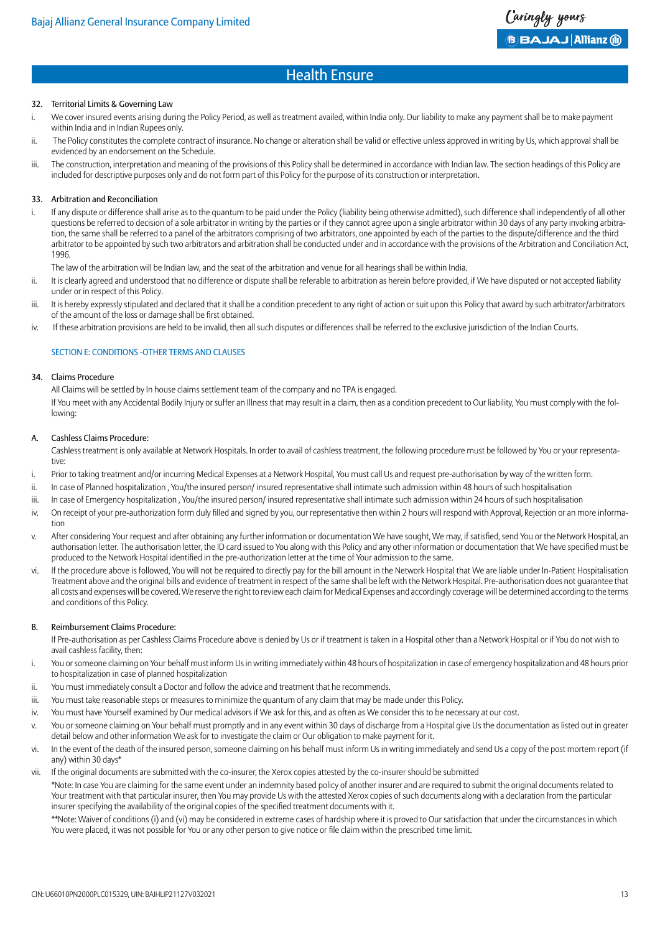#### 32. Territorial Limits & Governing Law

- i. We cover insured events arising during the Policy Period, as well as treatment availed, within India only. Our liability to make any payment shall be to make payment within India and in Indian Rupees only.
- ii. The Policy constitutes the complete contract of insurance. No change or alteration shall be valid or effective unless approved in writing by Us, which approval shall be evidenced by an endorsement on the Schedule.
- iii. The construction, interpretation and meaning of the provisions of this Policy shall be determined in accordance with Indian law. The section headings of this Policy are included for descriptive purposes only and do not form part of this Policy for the purpose of its construction or interpretation.

#### 33. Arbitration and Reconciliation

i. If any dispute or difference shall arise as to the quantum to be paid under the Policy (liability being otherwise admitted), such difference shall independently of all other questions be referred to decision of a sole arbitrator in writing by the parties or if they cannot agree upon a single arbitrator within 30 days of any party invoking arbitration, the same shall be referred to a panel of the arbitrators comprising of two arbitrators, one appointed by each of the parties to the dispute/difference and the third arbitrator to be appointed by such two arbitrators and arbitration shall be conducted under and in accordance with the provisions of the Arbitration and Conciliation Act, 1996.

The law of the arbitration will be Indian law, and the seat of the arbitration and venue for all hearings shall be within India.

- ii. It is clearly agreed and understood that no difference or dispute shall be referable to arbitration as herein before provided, if We have disputed or not accepted liability under or in respect of this Policy.
- iii. It is hereby expressly stipulated and declared that it shall be a condition precedent to any right of action or suit upon this Policy that award by such arbitrator/arbitrators of the amount of the loss or damage shall be first obtained.
- iv. If these arbitration provisions are held to be invalid, then all such disputes or differences shall be referred to the exclusive jurisdiction of the Indian Courts.

#### SECTION E: CONDITIONS -OTHER TERMS AND CLAUSES

#### 34. Claims Procedure

All Claims will be settled by In house claims settlement team of the company and no TPA is engaged. If You meet with any Accidental Bodily Injury or suffer an Illness that may result in a claim, then as a condition precedent to Our liability, You must comply with the following:

#### A. Cashless Claims Procedure:

Cashless treatment is only available at Network Hospitals. In order to avail of cashless treatment, the following procedure must be followed by You or your representative:

- i. Prior to taking treatment and/or incurring Medical Expenses at a Network Hospital, You must call Us and request pre-authorisation by way of the written form.
- ii. In case of Planned hospitalization, You/the insured person/ insured representative shall intimate such admission within 48 hours of such hospitalisation
- iii. In case of Emergency hospitalization , You/the insured person/ insured representative shall intimate such admission within 24 hours of such hospitalisation
- iv. On receipt of your pre-authorization form duly filled and signed by you, our representative then within 2 hours will respond with Approval, Rejection or an more information
- v. After considering Your request and after obtaining any further information or documentation We have sought, We may, if satisfied, send You or the Network Hospital, an authorisation letter. The authorisation letter, the ID card issued to You along with this Policy and any other information or documentation that We have specified must be produced to the Network Hospital identified in the pre-authorization letter at the time of Your admission to the same.
- vi. If the procedure above is followed, You will not be required to directly pay for the bill amount in the Network Hospital that We are liable under In-Patient Hospitalisation Treatment above and the original bills and evidence of treatment in respect of the same shall be left with the Network Hospital. Pre-authorisation does not guarantee that all costs and expenses will be covered. We reserve the right to review each claim for Medical Expenses and accordingly coverage will be determined according to the terms and conditions of this Policy.

#### B. Reimbursement Claims Procedure:

If Pre-authorisation as per Cashless Claims Procedure above is denied by Us or if treatment is taken in a Hospital other than a Network Hospital or if You do not wish to avail cashless facility, then:

- i. You or someone claiming on Your behalf must inform Us in writing immediately within 48 hours of hospitalization in case of emergency hospitalization and 48 hours prior to hospitalization in case of planned hospitalization
- ii. You must immediately consult a Doctor and follow the advice and treatment that he recommends.
- iii. You must take reasonable steps or measures to minimize the quantum of any claim that may be made under this Policy.
- iv. You must have Yourself examined by Our medical advisors if We ask for this, and as often as We consider this to be necessary at our cost.
- v. You or someone claiming on Your behalf must promptly and in any event within 30 days of discharge from a Hospital give Us the documentation as listed out in greater detail below and other information We ask for to investigate the claim or Our obligation to make payment for it.
- vi. In the event of the death of the insured person, someone claiming on his behalf must inform Us in writing immediately and send Us a copy of the post mortem report (if any) within 30 days\*
- vii. If the original documents are submitted with the co-insurer, the Xerox copies attested by the co-insurer should be submitted

\*Note: In case You are claiming for the same event under an indemnity based policy of another insurer and are required to submit the original documents related to Your treatment with that particular insurer, then You may provide Us with the attested Xerox copies of such documents along with a declaration from the particular insurer specifying the availability of the original copies of the specified treatment documents with it.

\*\*Note: Waiver of conditions (i) and (vi) may be considered in extreme cases of hardship where it is proved to Our satisfaction that under the circumstances in which You were placed, it was not possible for You or any other person to give notice or file claim within the prescribed time limit.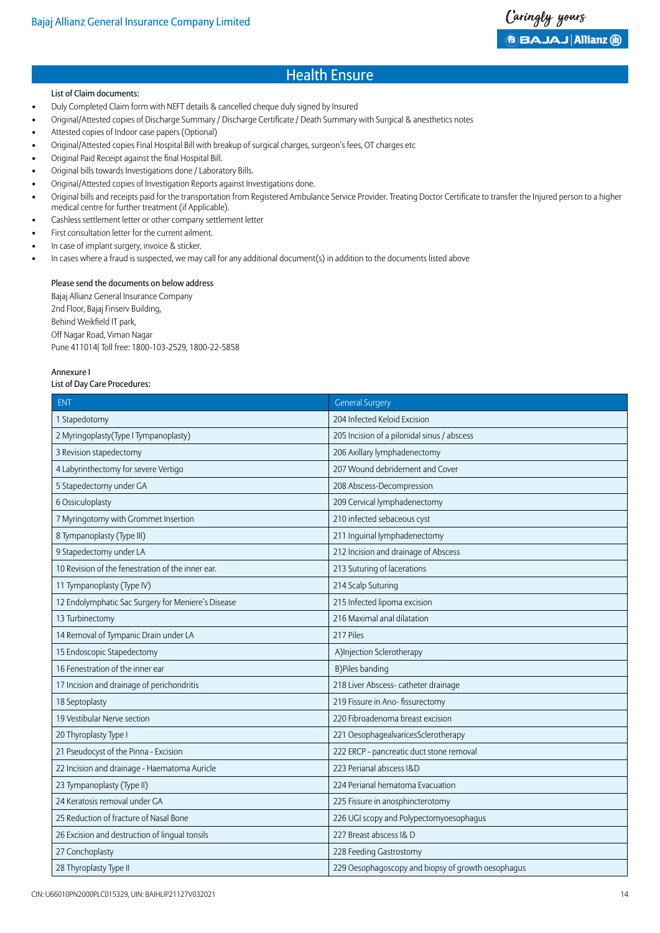#### List of Claim documents:

- Duly Completed Claim form with NEFT details & cancelled cheque duly signed by Insured
- Original/Attested copies of Discharge Summary / Discharge Certificate / Death Summary with Surgical & anesthetics notes
- Attested copies of Indoor case papers (Optional)
- Original/Attested copies Final Hospital Bill with breakup of surgical charges, surgeon's fees, OT charges etc
- Original Paid Receipt against the final Hospital Bill.
- Original bills towards Investigations done / Laboratory Bills.
- Original/Attested copies of Investigation Reports against Investigations done.
- Original bills and receipts paid for the transportation from Registered Ambulance Service Provider. Treating Doctor Certificate to transfer the Injured person to a higher medical centre for further treatment (if Applicable).
- Cashless settlement letter or other company settlement letter
- First consultation letter for the current ailment.
- In case of implant surgery, invoice & sticker.
- In cases where a fraud is suspected, we may call for any additional document(s) in addition to the documents listed above

#### Please send the documents on below address

Bajaj Allianz General Insurance Company 2nd Floor, Bajaj Finserv Building, Behind Weikfield IT park, Off Nagar Road, Viman Nagar Pune 411014| Toll free: 1800-103-2529, 1800-22-5858

#### Annexure I

#### List of Day Care Procedures:

| <b>ENT</b>                                         | <b>General Surgery</b>                             |
|----------------------------------------------------|----------------------------------------------------|
| 1 Stapedotomy                                      | 204 Infected Keloid Excision                       |
| 2 Myringoplasty (Type I Tympanoplasty)             | 205 Incision of a pilonidal sinus / abscess        |
| 3 Revision stapedectomy                            | 206 Axillary lymphadenectomy                       |
| 4 Labyrinthectomy for severe Vertigo               | 207 Wound debridement and Cover                    |
| 5 Stapedectomy under GA                            | 208 Abscess-Decompression                          |
| 6 Ossiculoplasty                                   | 209 Cervical lymphadenectomy                       |
| 7 Myringotomy with Grommet Insertion               | 210 infected sebaceous cyst                        |
| 8 Tympanoplasty (Type III)                         | 211 Inguinal lymphadenectomy                       |
| 9 Stapedectomy under LA                            | 212 Incision and drainage of Abscess               |
| 10 Revision of the fenestration of the inner ear.  | 213 Suturing of lacerations                        |
| 11 Tympanoplasty (Type IV)                         | 214 Scalp Suturing                                 |
| 12 Endolymphatic Sac Surgery for Meniere's Disease | 215 Infected lipoma excision                       |
| 13 Turbinectomy                                    | 216 Maximal anal dilatation                        |
| 14 Removal of Tympanic Drain under LA              | 217 Piles                                          |
| 15 Endoscopic Stapedectomy                         | A)Injection Sclerotherapy                          |
| 16 Fenestration of the inner ear                   | B) Piles banding                                   |
| 17 Incision and drainage of perichondritis         | 218 Liver Abscess- catheter drainage               |
| 18 Septoplasty                                     | 219 Fissure in Ano- fissurectomy                   |
| 19 Vestibular Nerve section                        | 220 Fibroadenoma breast excision                   |
| 20 Thyroplasty Type I                              | 221 OesophagealvaricesSclerotherapy                |
| 21 Pseudocyst of the Pinna - Excision              | 222 ERCP - pancreatic duct stone removal           |
| 22 Incision and drainage - Haematoma Auricle       | 223 Perianal abscess I&D                           |
| 23 Tympanoplasty (Type II)                         | 224 Perianal hematoma Evacuation                   |
| 24 Keratosis removal under GA                      | 225 Fissure in anosphincterotomy                   |
| 25 Reduction of fracture of Nasal Bone             | 226 UGI scopy and Polypectomyoesophagus            |
| 26 Excision and destruction of lingual tonsils     | 227 Breast abscess I& D                            |
| 27 Conchoplasty                                    | 228 Feeding Gastrostomy                            |
| 28 Thyroplasty Type II                             | 229 Oesophagoscopy and biopsy of growth oesophagus |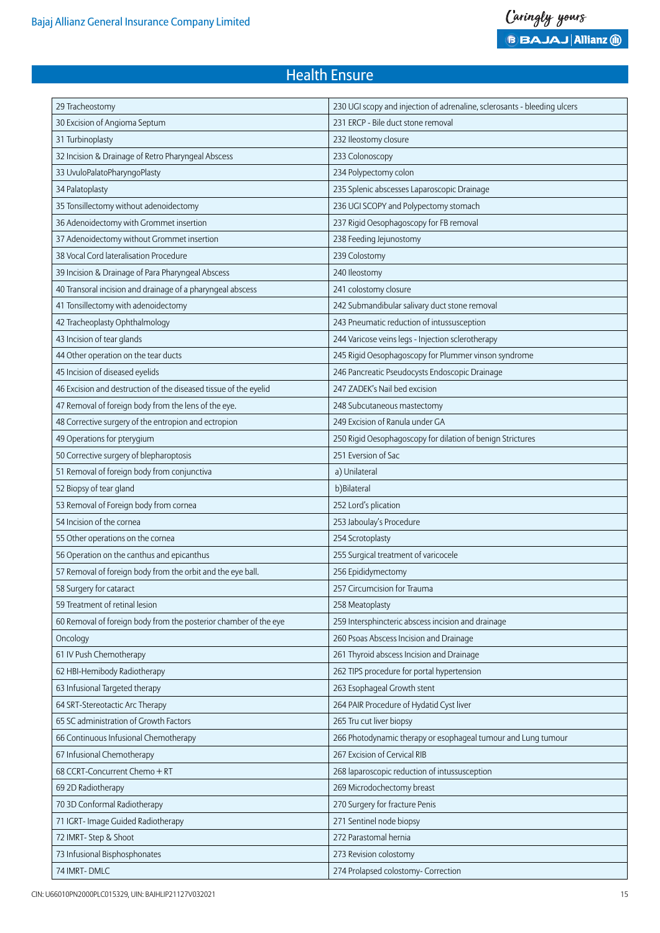| 29 Tracheostomy                                                  | 230 UGI scopy and injection of adrenaline, sclerosants - bleeding ulcers |
|------------------------------------------------------------------|--------------------------------------------------------------------------|
| 30 Excision of Angioma Septum                                    | 231 ERCP - Bile duct stone removal                                       |
| 31 Turbinoplasty                                                 | 232 Ileostomy closure                                                    |
| 32 Incision & Drainage of Retro Pharyngeal Abscess               | 233 Colonoscopy                                                          |
| 33 UvuloPalatoPharyngoPlasty                                     | 234 Polypectomy colon                                                    |
| 34 Palatoplasty                                                  | 235 Splenic abscesses Laparoscopic Drainage                              |
| 35 Tonsillectomy without adenoidectomy                           | 236 UGI SCOPY and Polypectomy stomach                                    |
| 36 Adenoidectomy with Grommet insertion                          | 237 Rigid Oesophagoscopy for FB removal                                  |
| 37 Adenoidectomy without Grommet insertion                       | 238 Feeding Jejunostomy                                                  |
| 38 Vocal Cord lateralisation Procedure                           | 239 Colostomy                                                            |
| 39 Incision & Drainage of Para Pharyngeal Abscess                | 240 Ileostomy                                                            |
| 40 Transoral incision and drainage of a pharyngeal abscess       | 241 colostomy closure                                                    |
| 41 Tonsillectomy with adenoidectomy                              | 242 Submandibular salivary duct stone removal                            |
| 42 Tracheoplasty Ophthalmology                                   | 243 Pneumatic reduction of intussusception                               |
| 43 Incision of tear glands                                       | 244 Varicose veins legs - Injection sclerotherapy                        |
| 44 Other operation on the tear ducts                             | 245 Rigid Oesophagoscopy for Plummer vinson syndrome                     |
| 45 Incision of diseased eyelids                                  | 246 Pancreatic Pseudocysts Endoscopic Drainage                           |
| 46 Excision and destruction of the diseased tissue of the eyelid | 247 ZADEK's Nail bed excision                                            |
| 47 Removal of foreign body from the lens of the eye.             | 248 Subcutaneous mastectomy                                              |
| 48 Corrective surgery of the entropion and ectropion             | 249 Excision of Ranula under GA                                          |
| 49 Operations for pterygium                                      | 250 Rigid Oesophagoscopy for dilation of benign Strictures               |
| 50 Corrective surgery of blepharoptosis                          | 251 Eversion of Sac                                                      |
| 51 Removal of foreign body from conjunctiva                      | a) Unilateral                                                            |
| 52 Biopsy of tear gland                                          | b)Bilateral                                                              |
| 53 Removal of Foreign body from cornea                           | 252 Lord's plication                                                     |
| 54 Incision of the cornea                                        | 253 Jaboulay's Procedure                                                 |
| 55 Other operations on the cornea                                | 254 Scrotoplasty                                                         |
| 56 Operation on the canthus and epicanthus                       | 255 Surgical treatment of varicocele                                     |
| 57 Removal of foreign body from the orbit and the eye ball.      | 256 Epididymectomy                                                       |
| 58 Surgery for cataract                                          | 257 Circumcision for Trauma                                              |
| 59 Treatment of retinal lesion                                   | 258 Meatoplasty                                                          |
| 60 Removal of foreign body from the posterior chamber of the eye | 259 Intersphincteric abscess incision and drainage                       |
| Oncology                                                         | 260 Psoas Abscess Incision and Drainage                                  |
| 61 IV Push Chemotherapy                                          | 261 Thyroid abscess Incision and Drainage                                |
| 62 HBI-Hemibody Radiotherapy                                     | 262 TIPS procedure for portal hypertension                               |
| 63 Infusional Targeted therapy                                   | 263 Esophageal Growth stent                                              |
| 64 SRT-Stereotactic Arc Therapy                                  | 264 PAIR Procedure of Hydatid Cyst liver                                 |
| 65 SC administration of Growth Factors                           | 265 Tru cut liver biopsy                                                 |
| 66 Continuous Infusional Chemotherapy                            | 266 Photodynamic therapy or esophageal tumour and Lung tumour            |
| 67 Infusional Chemotherapy                                       | 267 Excision of Cervical RIB                                             |
| 68 CCRT-Concurrent Chemo + RT                                    | 268 laparoscopic reduction of intussusception                            |
| 69 2D Radiotherapy                                               | 269 Microdochectomy breast                                               |
| 70 3D Conformal Radiotherapy                                     | 270 Surgery for fracture Penis                                           |
| 71 IGRT- Image Guided Radiotherapy                               | 271 Sentinel node biopsy                                                 |
| 72 IMRT- Step & Shoot                                            | 272 Parastomal hernia                                                    |
| 73 Infusional Bisphosphonates                                    | 273 Revision colostomy                                                   |
| 74 IMRT-DMLC                                                     | 274 Prolapsed colostomy- Correction                                      |

CIN: U66010PN2000PLC015329, UIN: BAJHLIP21127V032021 15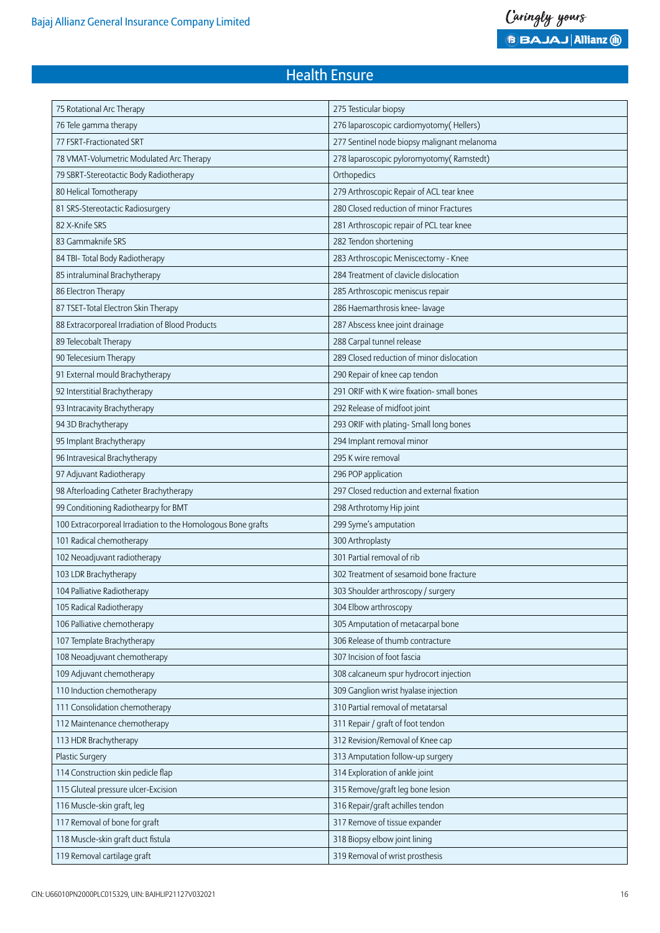| 275 Testicular biopsy                       |
|---------------------------------------------|
| 276 laparoscopic cardiomyotomy(Hellers)     |
| 277 Sentinel node biopsy malignant melanoma |
| 278 laparoscopic pyloromyotomy(Ramstedt)    |
| Orthopedics                                 |
| 279 Arthroscopic Repair of ACL tear knee    |
| 280 Closed reduction of minor Fractures     |
| 281 Arthroscopic repair of PCL tear knee    |
| 282 Tendon shortening                       |
| 283 Arthroscopic Meniscectomy - Knee        |
| 284 Treatment of clavicle dislocation       |
| 285 Arthroscopic meniscus repair            |
| 286 Haemarthrosis knee- lavage              |
| 287 Abscess knee joint drainage             |
| 288 Carpal tunnel release                   |
| 289 Closed reduction of minor dislocation   |
| 290 Repair of knee cap tendon               |
| 291 ORIF with K wire fixation- small bones  |
| 292 Release of midfoot joint                |
| 293 ORIF with plating- Small long bones     |
| 294 Implant removal minor                   |
| 295 K wire removal                          |
| 296 POP application                         |
| 297 Closed reduction and external fixation  |
| 298 Arthrotomy Hip joint                    |
| 299 Syme's amputation                       |
| 300 Arthroplasty                            |
| 301 Partial removal of rib                  |
| 302 Treatment of sesamoid bone fracture     |
| 303 Shoulder arthroscopy / surgery          |
| 304 Elbow arthroscopy                       |
| 305 Amputation of metacarpal bone           |
| 306 Release of thumb contracture            |
| 307 Incision of foot fascia                 |
| 308 calcaneum spur hydrocort injection      |
| 309 Ganglion wrist hyalase injection        |
| 310 Partial removal of metatarsal           |
| 311 Repair / graft of foot tendon           |
| 312 Revision/Removal of Knee cap            |
| 313 Amputation follow-up surgery            |
| 314 Exploration of ankle joint              |
| 315 Remove/graft leg bone lesion            |
| 316 Repair/graft achilles tendon            |
| 317 Remove of tissue expander               |
| 318 Biopsy elbow joint lining               |
| 319 Removal of wrist prosthesis             |
|                                             |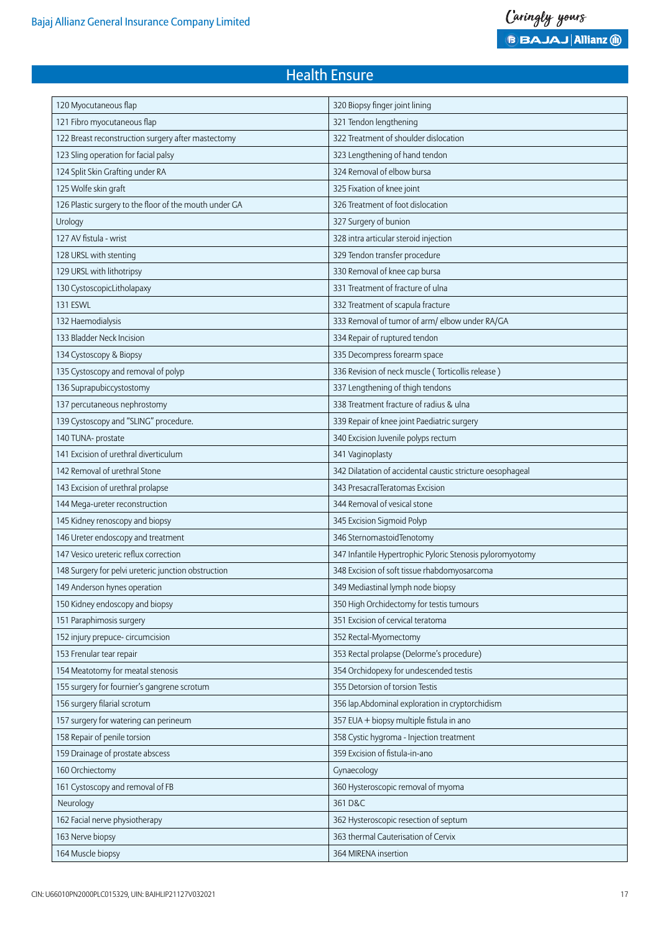| 120 Myocutaneous flap                                  | 320 Biopsy finger joint lining                             |
|--------------------------------------------------------|------------------------------------------------------------|
| 121 Fibro myocutaneous flap                            | 321 Tendon lengthening                                     |
| 122 Breast reconstruction surgery after mastectomy     | 322 Treatment of shoulder dislocation                      |
| 123 Sling operation for facial palsy                   | 323 Lengthening of hand tendon                             |
| 124 Split Skin Grafting under RA                       | 324 Removal of elbow bursa                                 |
| 125 Wolfe skin graft                                   | 325 Fixation of knee joint                                 |
| 126 Plastic surgery to the floor of the mouth under GA | 326 Treatment of foot dislocation                          |
| Urology                                                | 327 Surgery of bunion                                      |
| 127 AV fistula - wrist                                 | 328 intra articular steroid injection                      |
| 128 URSL with stenting                                 | 329 Tendon transfer procedure                              |
| 129 URSL with lithotripsy                              | 330 Removal of knee cap bursa                              |
| 130 CystoscopicLitholapaxy                             | 331 Treatment of fracture of ulna                          |
| 131 ESWL                                               | 332 Treatment of scapula fracture                          |
| 132 Haemodialysis                                      | 333 Removal of tumor of arm/ elbow under RA/GA             |
| 133 Bladder Neck Incision                              | 334 Repair of ruptured tendon                              |
| 134 Cystoscopy & Biopsy                                | 335 Decompress forearm space                               |
| 135 Cystoscopy and removal of polyp                    | 336 Revision of neck muscle (Torticollis release)          |
| 136 Suprapubiccystostomy                               | 337 Lengthening of thigh tendons                           |
| 137 percutaneous nephrostomy                           | 338 Treatment fracture of radius & ulna                    |
| 139 Cystoscopy and "SLING" procedure.                  | 339 Repair of knee joint Paediatric surgery                |
| 140 TUNA- prostate                                     | 340 Excision Juvenile polyps rectum                        |
| 141 Excision of urethral diverticulum                  | 341 Vaginoplasty                                           |
| 142 Removal of urethral Stone                          | 342 Dilatation of accidental caustic stricture oesophageal |
| 143 Excision of urethral prolapse                      | 343 PresacralTeratomas Excision                            |
| 144 Mega-ureter reconstruction                         | 344 Removal of vesical stone                               |
| 145 Kidney renoscopy and biopsy                        | 345 Excision Sigmoid Polyp                                 |
| 146 Ureter endoscopy and treatment                     | 346 Sternomastoid Tenotomy                                 |
| 147 Vesico ureteric reflux correction                  | 347 Infantile Hypertrophic Pyloric Stenosis pyloromyotomy  |
| 148 Surgery for pelvi ureteric junction obstruction    | 348 Excision of soft tissue rhabdomyosarcoma               |
| 149 Anderson hynes operation                           | 349 Mediastinal lymph node biopsy                          |
| 150 Kidney endoscopy and biopsy                        | 350 High Orchidectomy for testis tumours                   |
| 151 Paraphimosis surgery                               | 351 Excision of cervical teratoma                          |
| 152 injury prepuce-circumcision                        | 352 Rectal-Myomectomy                                      |
| 153 Frenular tear repair                               | 353 Rectal prolapse (Delorme's procedure)                  |
| 154 Meatotomy for meatal stenosis                      | 354 Orchidopexy for undescended testis                     |
| 155 surgery for fournier's gangrene scrotum            | 355 Detorsion of torsion Testis                            |
| 156 surgery filarial scrotum                           | 356 lap.Abdominal exploration in cryptorchidism            |
| 157 surgery for watering can perineum                  | 357 EUA + biopsy multiple fistula in ano                   |
| 158 Repair of penile torsion                           | 358 Cystic hygroma - Injection treatment                   |
| 159 Drainage of prostate abscess                       | 359 Excision of fistula-in-ano                             |
| 160 Orchiectomy                                        | Gynaecology                                                |
| 161 Cystoscopy and removal of FB                       | 360 Hysteroscopic removal of myoma                         |
| Neurology                                              | 361 D&C                                                    |
| 162 Facial nerve physiotherapy                         | 362 Hysteroscopic resection of septum                      |
| 163 Nerve biopsy                                       | 363 thermal Cauterisation of Cervix                        |
| 164 Muscle biopsy                                      | 364 MIRENA insertion                                       |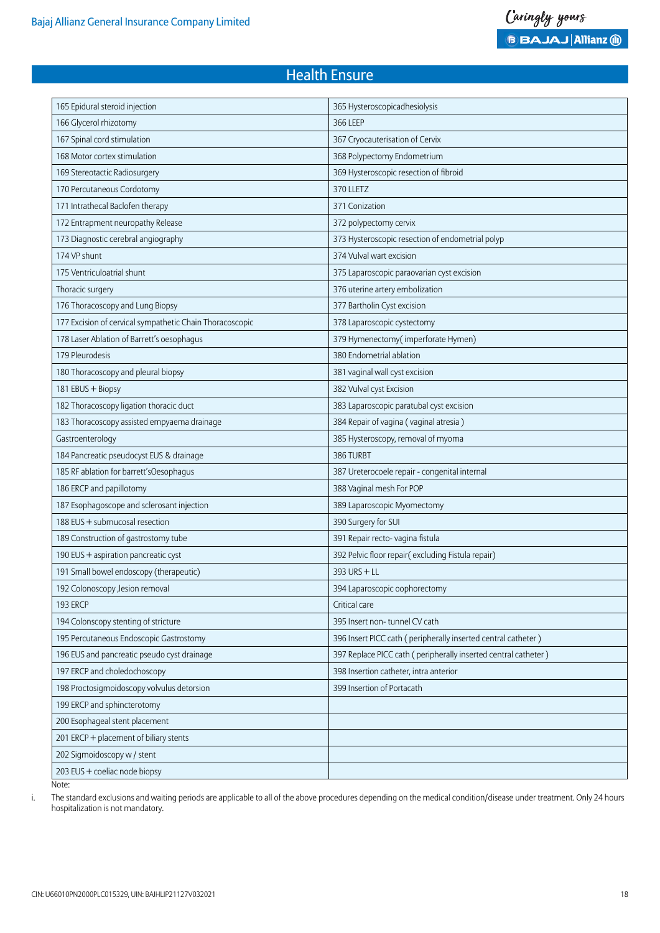| 165 Epidural steroid injection                           | 365 Hysteroscopicadhesiolysis                                  |
|----------------------------------------------------------|----------------------------------------------------------------|
| 166 Glycerol rhizotomy                                   | 366 LEEP                                                       |
| 167 Spinal cord stimulation                              | 367 Cryocauterisation of Cervix                                |
| 168 Motor cortex stimulation                             | 368 Polypectomy Endometrium                                    |
| 169 Stereotactic Radiosurgery                            | 369 Hysteroscopic resection of fibroid                         |
| 170 Percutaneous Cordotomy                               | 370 LLETZ                                                      |
| 171 Intrathecal Baclofen therapy                         | 371 Conization                                                 |
| 172 Entrapment neuropathy Release                        | 372 polypectomy cervix                                         |
| 173 Diagnostic cerebral angiography                      | 373 Hysteroscopic resection of endometrial polyp               |
| 174 VP shunt                                             | 374 Vulval wart excision                                       |
| 175 Ventriculoatrial shunt                               | 375 Laparoscopic paraovarian cyst excision                     |
| Thoracic surgery                                         | 376 uterine artery embolization                                |
| 176 Thoracoscopy and Lung Biopsy                         | 377 Bartholin Cyst excision                                    |
| 177 Excision of cervical sympathetic Chain Thoracoscopic | 378 Laparoscopic cystectomy                                    |
| 178 Laser Ablation of Barrett's oesophagus               | 379 Hymenectomy(imperforate Hymen)                             |
| 179 Pleurodesis                                          | 380 Endometrial ablation                                       |
| 180 Thoracoscopy and pleural biopsy                      | 381 vaginal wall cyst excision                                 |
| 181 EBUS + Biopsy                                        | 382 Vulval cyst Excision                                       |
| 182 Thoracoscopy ligation thoracic duct                  | 383 Laparoscopic paratubal cyst excision                       |
| 183 Thoracoscopy assisted empyaema drainage              | 384 Repair of vagina (vaginal atresia)                         |
| Gastroenterology                                         | 385 Hysteroscopy, removal of myoma                             |
| 184 Pancreatic pseudocyst EUS & drainage                 | 386 TURBT                                                      |
| 185 RF ablation for barrett'sOesophagus                  | 387 Ureterocoele repair - congenital internal                  |
| 186 ERCP and papillotomy                                 | 388 Vaginal mesh For POP                                       |
| 187 Esophagoscope and sclerosant injection               | 389 Laparoscopic Myomectomy                                    |
| 188 EUS + submucosal resection                           | 390 Surgery for SUI                                            |
| 189 Construction of gastrostomy tube                     | 391 Repair recto- vagina fistula                               |
| 190 EUS + aspiration pancreatic cyst                     | 392 Pelvic floor repair(excluding Fistula repair)              |
| 191 Small bowel endoscopy (therapeutic)                  | $393$ URS + LL                                                 |
| 192 Colonoscopy , lesion removal                         | 394 Laparoscopic oophorectomy                                  |
| 193 ERCP                                                 | Critical care                                                  |
| 194 Colonscopy stenting of stricture                     | 395 Insert non-tunnel CV cath                                  |
| 195 Percutaneous Endoscopic Gastrostomy                  | 396 Insert PICC cath (peripherally inserted central catheter)  |
| 196 EUS and pancreatic pseudo cyst drainage              | 397 Replace PICC cath (peripherally inserted central catheter) |
| 197 ERCP and choledochoscopy                             | 398 Insertion catheter, intra anterior                         |
| 198 Proctosigmoidoscopy volvulus detorsion               | 399 Insertion of Portacath                                     |
| 199 ERCP and sphincterotomy                              |                                                                |
| 200 Esophageal stent placement                           |                                                                |
| 201 ERCP + placement of biliary stents                   |                                                                |
| 202 Sigmoidoscopy w / stent                              |                                                                |
| 203 EUS + coeliac node biopsy                            |                                                                |
|                                                          |                                                                |

Note:

i. The standard exclusions and waiting periods are applicable to all of the above procedures depending on the medical condition/disease under treatment. Only 24 hours hospitalization is not mandatory.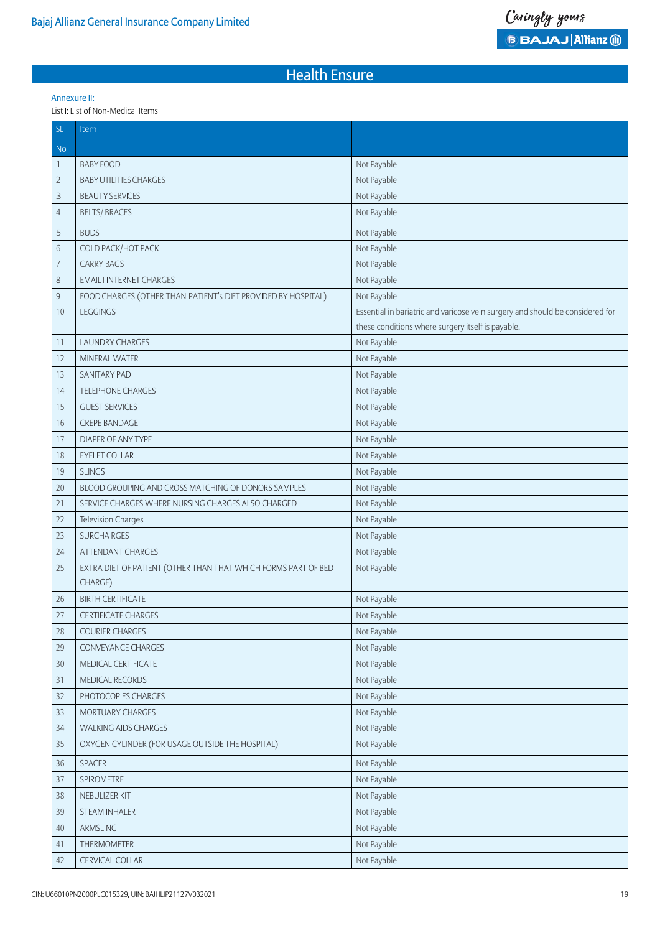#### Annexure II:

List I: List of Non-Medical Items

| <b>SL</b>      | Item                                                                      |                                                                                                                                    |
|----------------|---------------------------------------------------------------------------|------------------------------------------------------------------------------------------------------------------------------------|
| <b>No</b>      |                                                                           |                                                                                                                                    |
| $\mathbf{1}$   | <b>BABY FOOD</b>                                                          | Not Payable                                                                                                                        |
| $\overline{2}$ | <b>BABY UTILITIES CHARGES</b>                                             | Not Payable                                                                                                                        |
| 3              | <b>BEAUTY SERVICES</b>                                                    | Not Payable                                                                                                                        |
| $\overline{4}$ | <b>BELTS/BRACES</b>                                                       | Not Payable                                                                                                                        |
| 5              | <b>BUDS</b>                                                               | Not Payable                                                                                                                        |
| 6              | COLD PACK/HOT PACK                                                        | Not Payable                                                                                                                        |
| $\overline{7}$ | <b>CARRY BAGS</b>                                                         | Not Payable                                                                                                                        |
| $\,8\,$        | <b>EMAIL I INTERNET CHARGES</b>                                           | Not Payable                                                                                                                        |
| $\mathsf g$    | FOOD CHARGES (OTHER THAN PATIENT's DIET PROVIDED BY HOSPITAL)             | Not Payable                                                                                                                        |
| 10             | <b>LEGGINGS</b>                                                           | Essential in bariatric and varicose vein surgery and should be considered for<br>these conditions where surgery itself is payable. |
| 11             | <b>LAUNDRY CHARGES</b>                                                    | Not Payable                                                                                                                        |
| 12             | <b>MINERAL WATER</b>                                                      | Not Payable                                                                                                                        |
| 13             | SANITARY PAD                                                              | Not Payable                                                                                                                        |
| 14             | <b>TELEPHONE CHARGES</b>                                                  | Not Payable                                                                                                                        |
| 15             | <b>GUEST SERVICES</b>                                                     | Not Payable                                                                                                                        |
| 16             | <b>CREPE BANDAGE</b>                                                      | Not Payable                                                                                                                        |
| 17             | <b>DIAPER OF ANY TYPE</b>                                                 | Not Payable                                                                                                                        |
| 18             | <b>EYELET COLLAR</b>                                                      | Not Payable                                                                                                                        |
| 19             | <b>SLINGS</b>                                                             | Not Payable                                                                                                                        |
| 20             | BLOOD GROUPING AND CROSS MATCHING OF DONORS SAMPLES                       | Not Payable                                                                                                                        |
| 21             | SERVICE CHARGES WHERE NURSING CHARGES ALSO CHARGED                        | Not Payable                                                                                                                        |
| 22             | <b>Television Charges</b>                                                 | Not Payable                                                                                                                        |
| 23             | <b>SURCHA RGES</b>                                                        | Not Payable                                                                                                                        |
| 24             | <b>ATTENDANT CHARGES</b>                                                  | Not Payable                                                                                                                        |
| 25             | EXTRA DIET OF PATIENT (OTHER THAN THAT WHICH FORMS PART OF BED<br>CHARGE) | Not Payable                                                                                                                        |
| 26             | <b>BIRTH CERTIFICATE</b>                                                  | Not Payable                                                                                                                        |
| 27             | CERTIFICATE CHARGES                                                       | Not Payable                                                                                                                        |
| 28             | <b>COURIER CHARGES</b>                                                    | Not Payable                                                                                                                        |
| 29             | CONVEYANCE CHARGES                                                        | Not Payable                                                                                                                        |
| 30             | MEDICAL CERTIFICATE                                                       | Not Payable                                                                                                                        |
| 31             | MEDICAL RECORDS                                                           | Not Payable                                                                                                                        |
| 32             | PHOTOCOPIES CHARGES                                                       | Not Payable                                                                                                                        |
| 33             | MORTUARY CHARGES                                                          | Not Payable                                                                                                                        |
| 34             | <b>WALKING AIDS CHARGES</b>                                               | Not Payable                                                                                                                        |
| 35             | OXYGEN CYLINDER (FOR USAGE OUTSIDE THE HOSPITAL)                          | Not Payable                                                                                                                        |
| 36             | SPACER                                                                    | Not Payable                                                                                                                        |
| 37             | SPIROMETRE                                                                | Not Payable                                                                                                                        |
| 38             | NEBULIZER KIT                                                             | Not Payable                                                                                                                        |
| 39             | STEAM INHALER                                                             | Not Payable                                                                                                                        |
| 40             | ARMSLING                                                                  | Not Payable                                                                                                                        |
| 41             | THERMOMETER                                                               | Not Payable                                                                                                                        |
| 42             | CERVICAL COLLAR                                                           | Not Payable                                                                                                                        |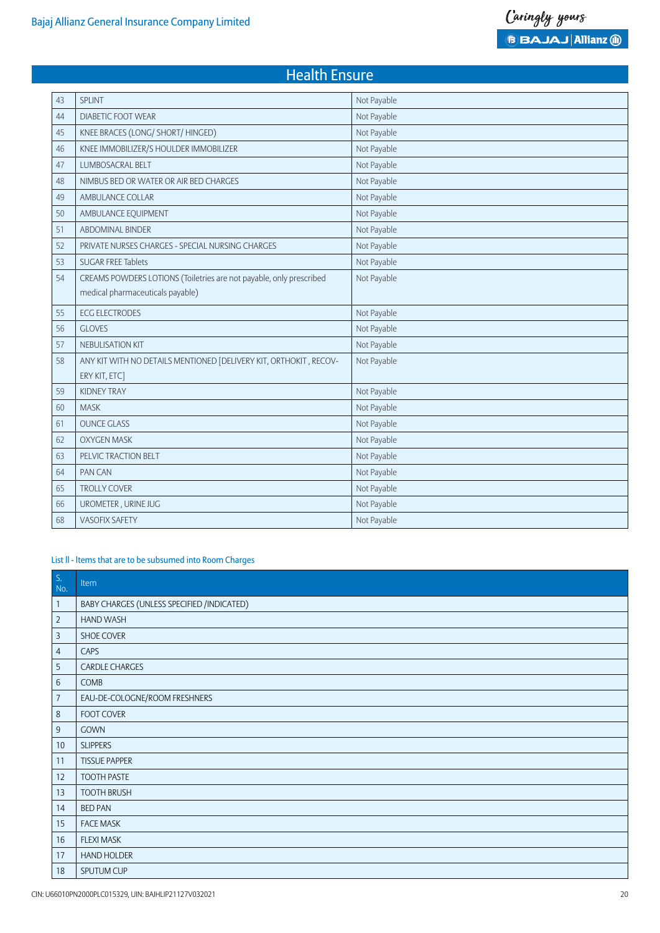## 43 SPLINT Not Payable 44 DIABETIC FOOT WEAR Not Payable 45 | KNEE BRACES (LONG/ SHORT/ HINGED) Not Payable 46 | KNEE IMMOBILIZER/S HOULDER IMMOBILIZER NOT Payable 47 LUMBOSACRAL BELT Not Payable 48 NIMBUS BED OR WATER OR AIR BED CHARGES NOTED SERVED ON NOT Payable 49 AMBULANCE COLLAR Not Payable 50 AMBULANCE EQUIPMENT Not Payable 51 ABDOMINAL BINDER Not Payable 52 PRIVATE NURSES CHARGES - SPECIAL NURSING CHARGES Not Payable 53 SUGAR FREE Tablets Not Payable 54 CREAMS POWDERS LOTIONS (Toiletries are not payable, only prescribed medical pharmaceuticals payable) Not Payable 55 ECG ELECTRODES Not Payable 56 GLOVES Not Payable 57 NEBULISATION KIT NOT PAYABLE SERVER THE STATE OF STATE OF STATE OF STATE OF STATE OF STATE OF STATE OF STATE OF STATE OF STATE OF STATE OF STATE OF STATE OF STATE OF STATE OF STATE OF STATE OF STATE OF STATE OF STATE OF 58 | ANY KIT WITH NO DETAILS MENTIONED [DELIVERY KIT, ORTHOKIT, RECOV-ERY KIT, ETC] Not Payable 59 KIDNEY TRAY Not Payable 60 MASK Not Payable 61 OUNCE GLASS Not Payable 62 OXYGEN MASK Not Payable 63 PELVIC TRACTION BELT Not Payable 64 PAN CAN NOTE PAN CAN NOTE AND THE PAYABLE PAYABLE PAYABLE PAYABLE PAYABLE PAYABLE 65 TROLLY COVER Not Payable 66 UROMETER , URINE JUG Not Payable **68 VASOFIX SAFETY** Not Payable

Health Ensure

#### List ll - ltems that are to be subsumed into Room Charges

| $S$ .<br>No.   | Item                                       |
|----------------|--------------------------------------------|
| $\mathbf{1}$   | BABY CHARGES (UNLESS SPECIFIED /INDICATED) |
| $\overline{2}$ | HAND WASH                                  |
| 3              | SHOE COVER                                 |
| $\overline{4}$ | CAPS                                       |
| 5              | CARDLE CHARGES                             |
| $6\phantom{1}$ | COMB                                       |
| 7              | EAU-DE-COLOGNE/ROOM FRESHNERS              |
| 8              | <b>FOOT COVER</b>                          |
| $9\,$          | <b>GOWN</b>                                |
| 10             | <b>SLIPPERS</b>                            |
| 11             | <b>TISSUE PAPPER</b>                       |
| 12             | <b>TOOTH PASTE</b>                         |
| 13             | <b>TOOTH BRUSH</b>                         |
| 14             | <b>BED PAN</b>                             |
| 15             | <b>FACE MASK</b>                           |
| 16             | <b>FLEXI MASK</b>                          |
| 17             | HAND HOLDER                                |
| 18             | SPUTUM CUP                                 |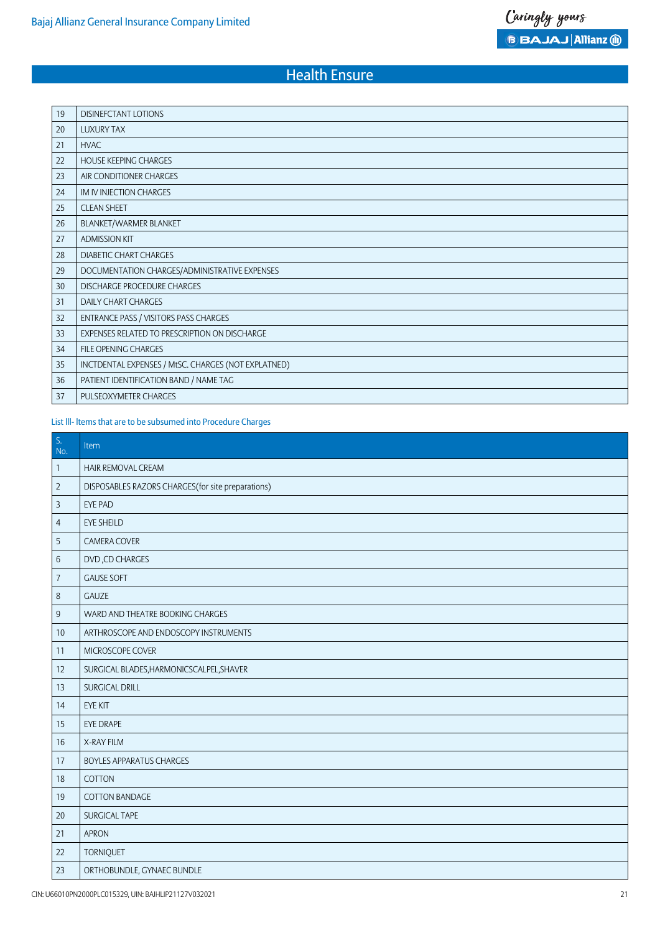| 19 | <b>DISINEFCTANT LOTIONS</b>                         |
|----|-----------------------------------------------------|
| 20 | <b>LUXURY TAX</b>                                   |
| 21 | <b>HVAC</b>                                         |
| 22 | <b>HOUSE KEEPING CHARGES</b>                        |
| 23 | AIR CONDITIONER CHARGES                             |
| 24 | IM IV INJECTION CHARGES                             |
| 25 | <b>CLEAN SHEET</b>                                  |
| 26 | BLANKET/WARMER BLANKET                              |
| 27 | <b>ADMISSION KIT</b>                                |
| 28 | <b>DIABETIC CHART CHARGES</b>                       |
| 29 | DOCUMENTATION CHARGES/ADMINISTRATIVE EXPENSES       |
| 30 | DISCHARGE PROCEDURE CHARGES                         |
| 31 | <b>DAILY CHART CHARGES</b>                          |
| 32 | ENTRANCE PASS / VISITORS PASS CHARGES               |
| 33 | EXPENSES RELATED TO PRESCRIPTION ON DISCHARGE       |
| 34 | FILE OPENING CHARGES                                |
| 35 | INCTDENTAL EXPENSES / MtSC. CHARGES (NOT EXPLATNED) |
| 36 | PATIENT IDENTIFICATION BAND / NAME TAG              |
| 37 | PULSEOXYMETER CHARGES                               |

### List lll- ltems that are to be subsumed into Procedure Charges

| $\mathsf{S},$<br>No. | Item                                               |
|----------------------|----------------------------------------------------|
| $\mathbf{1}$         | HAIR REMOVAL CREAM                                 |
| $\overline{2}$       | DISPOSABLES RAZORS CHARGES (for site preparations) |
| 3                    | EYE PAD                                            |
| 4                    | <b>EYE SHEILD</b>                                  |
| 5                    | <b>CAMERA COVER</b>                                |
| $6\,$                | DVD, CD CHARGES                                    |
| 7                    | <b>GAUSE SOFT</b>                                  |
| $\,8\,$              | GAUZE                                              |
| $\boldsymbol{9}$     | WARD AND THEATRE BOOKING CHARGES                   |
| 10                   | ARTHROSCOPE AND ENDOSCOPY INSTRUMENTS              |
| 11                   | MICROSCOPE COVER                                   |
| 12                   | SURGICAL BLADES, HARMONICSCALPEL, SHAVER           |
| 13                   | <b>SURGICAL DRILL</b>                              |
| 14                   | <b>EYE KIT</b>                                     |
| 15                   | EYE DRAPE                                          |
| 16                   | X-RAY FILM                                         |
| 17                   | <b>BOYLES APPARATUS CHARGES</b>                    |
| 18                   | COTTON                                             |
| 19                   | COTTON BANDAGE                                     |
| 20                   | SURGICAL TAPE                                      |
| 21                   | <b>APRON</b>                                       |
| 22                   | <b>TORNIQUET</b>                                   |
| 23                   | ORTHOBUNDLE, GYNAEC BUNDLE                         |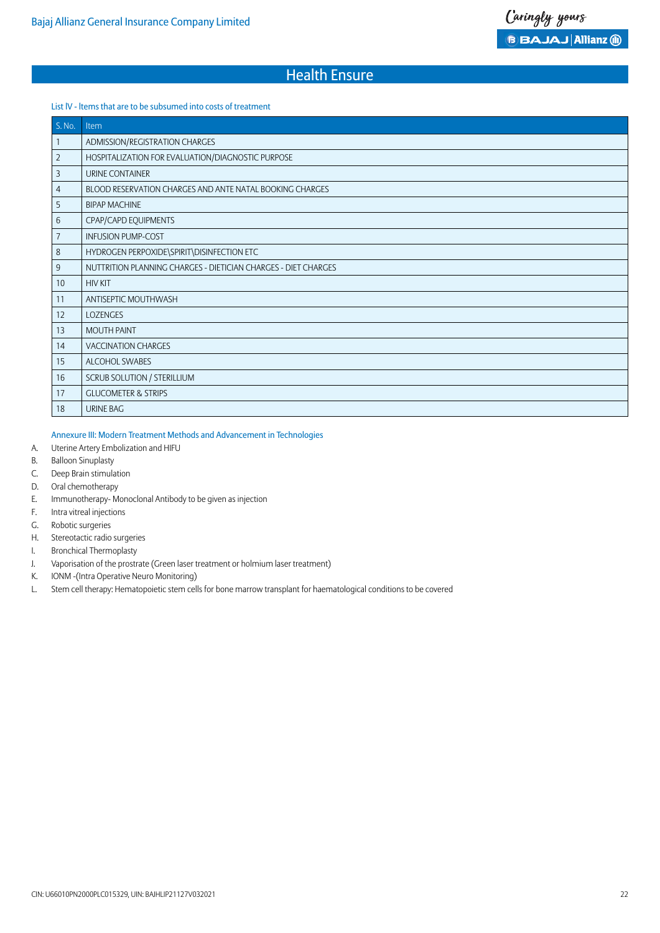#### List lV - ltems that are to be subsumed into costs of treatment

| S. No. | Item                                                           |
|--------|----------------------------------------------------------------|
| 1      | ADMISSION/REGISTRATION CHARGES                                 |
| 2      | HOSPITALIZATION FOR EVALUATION/DIAGNOSTIC PURPOSE              |
| 3      | URINE CONTAINER                                                |
| 4      | BLOOD RESERVATION CHARGES AND ANTE NATAL BOOKING CHARGES       |
| 5      | <b>BIPAP MACHINE</b>                                           |
| 6      | CPAP/CAPD EQUIPMENTS                                           |
| 7      | <b>INFUSION PUMP-COST</b>                                      |
| 8      | HYDROGEN PERPOXIDE\SPIRIT\DISINFECTION ETC                     |
| 9      | NUTTRITION PLANNING CHARGES - DIETICIAN CHARGES - DIET CHARGES |
| 10     | <b>HIV KIT</b>                                                 |
| 11     | ANTISEPTIC MOUTHWASH                                           |
| 12     | <b>LOZENGES</b>                                                |
| 13     | <b>MOUTH PAINT</b>                                             |
| 14     | <b>VACCINATION CHARGES</b>                                     |
| 15     | ALCOHOL SWABES                                                 |
| 16     | SCRUB SOLUTION / STERILLIUM                                    |
| 17     | <b>GLUCOMETER &amp; STRIPS</b>                                 |
| 18     | URINE BAG                                                      |

#### Annexure III: Modern Treatment Methods and Advancement in Technologies

- A. Uterine Artery Embolization and HIFU
- B. Balloon Sinuplasty
- C. Deep Brain stimulation
- D. Oral chemotherapy
- E. Immunotherapy- Monoclonal Antibody to be given as injection
- F. Intra vitreal injections
- G. Robotic surgeries
- H. Stereotactic radio surgeries
- I. Bronchical Thermoplasty
- J. Vaporisation of the prostrate (Green laser treatment or holmium laser treatment)
- K. IONM -(Intra Operative Neuro Monitoring)
- L. Stem cell therapy: Hematopoietic stem cells for bone marrow transplant for haematological conditions to be covered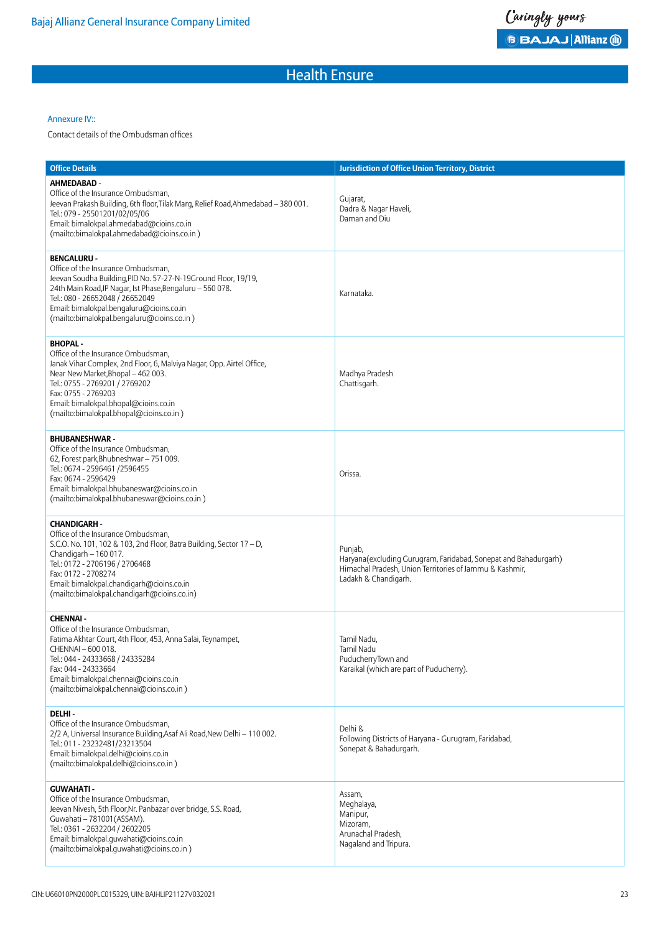#### Annexure IV::

Contact details of the Ombudsman offices

| <b>Office Details</b>                                                                                                                                                                                                                                                                                                | <b>Jurisdiction of Office Union Territory, District</b>                                                                                                       |
|----------------------------------------------------------------------------------------------------------------------------------------------------------------------------------------------------------------------------------------------------------------------------------------------------------------------|---------------------------------------------------------------------------------------------------------------------------------------------------------------|
| AHMEDABAD -<br>Office of the Insurance Ombudsman,<br>Jeevan Prakash Building, 6th floor, Tilak Marg, Relief Road, Ahmedabad - 380 001.<br>Tel.: 079 - 25501201/02/05/06<br>Email: bimalokpal.ahmedabad@cioins.co.in<br>(mailto:bimalokpal.ahmedabad@cioins.co.in)                                                    | Gujarat,<br>Dadra & Nagar Haveli,<br>Daman and Diu                                                                                                            |
| <b>BENGALURU -</b><br>Office of the Insurance Ombudsman,<br>Jeevan Soudha Building, PID No. 57-27-N-19Ground Floor, 19/19,<br>24th Main Road, JP Nagar, Ist Phase, Bengaluru - 560 078.<br>Tel.: 080 - 26652048 / 26652049<br>Email: bimalokpal.bengaluru@cioins.co.in<br>(mailto:bimalokpal.bengaluru@cioins.co.in) | Karnataka.                                                                                                                                                    |
| <b>BHOPAL-</b><br>Office of the Insurance Ombudsman,<br>Janak Vihar Complex, 2nd Floor, 6, Malviya Nagar, Opp. Airtel Office,<br>Near New Market, Bhopal - 462 003.<br>Tel.: 0755 - 2769201 / 2769202<br>Fax: 0755 - 2769203<br>Email: bimalokpal.bhopal@cioins.co.in<br>(mailto:bimalokpal.bhopal@cioins.co.in)     | Madhya Pradesh<br>Chattisgarh.                                                                                                                                |
| <b>BHUBANESHWAR -</b><br>Office of the Insurance Ombudsman,<br>62, Forest park, Bhubneshwar - 751 009.<br>Tel.: 0674 - 2596461 /2596455<br>Fax: 0674 - 2596429<br>Email: bimalokpal.bhubaneswar@cioins.co.in<br>(mailto:bimalokpal.bhubaneswar@cioins.co.in)                                                         | Orissa.                                                                                                                                                       |
| <b>CHANDIGARH -</b><br>Office of the Insurance Ombudsman,<br>S.C.O. No. 101, 102 & 103, 2nd Floor, Batra Building, Sector 17 - D,<br>Chandigarh - 160 017.<br>Tel.: 0172 - 2706196 / 2706468<br>Fax: 0172 - 2708274<br>Email: bimalokpal.chandigarh@cioins.co.in<br>(mailto:bimalokpal.chandigarh@cioins.co.in)      | Punjab,<br>Haryana(excluding Gurugram, Faridabad, Sonepat and Bahadurgarh)<br>Himachal Pradesh, Union Territories of Jammu & Kashmir,<br>Ladakh & Chandigarh. |
| <b>CHENNAI-</b><br>Office of the Insurance Ombudsman,<br>Fatima Akhtar Court, 4th Floor, 453, Anna Salai, Teynampet,<br>CHENNAI - 600 018.<br>Tel.: 044 - 24333668 / 24335284<br>Fax: 044 - 24333664<br>Email: bimalokpal.chennai@cioins.co.in<br>(mailto:bimalokpal.chennai@cioins.co.in)                           | Tamil Nadu,<br>Tamil Nadu<br>PuducherryTown and<br>Karaikal (which are part of Puducherry).                                                                   |
| DELHI-<br>Office of the Insurance Ombudsman,<br>2/2 A, Universal Insurance Building, Asaf Ali Road, New Delhi - 110 002.<br>Tel.: 011 - 23232481/23213504<br>Email: bimalokpal.delhi@cioins.co.in<br>(mailto:bimalokpal.delhi@cioins.co.in)                                                                          | Delhi &<br>Following Districts of Haryana - Gurugram, Faridabad,<br>Sonepat & Bahadurgarh.                                                                    |
| <b>GUWAHATI-</b><br>Office of the Insurance Ombudsman,<br>Jeevan Nivesh, 5th Floor, Nr. Panbazar over bridge, S.S. Road,<br>Guwahati - 781001 (ASSAM).<br>Tel.: 0361 - 2632204 / 2602205<br>Email: bimalokpal.guwahati@cioins.co.in<br>(mailto:bimalokpal.quwahati@cioins.co.in)                                     | Assam,<br>Meghalaya,<br>Manipur,<br>Mizoram,<br>Arunachal Pradesh,<br>Nagaland and Tripura.                                                                   |